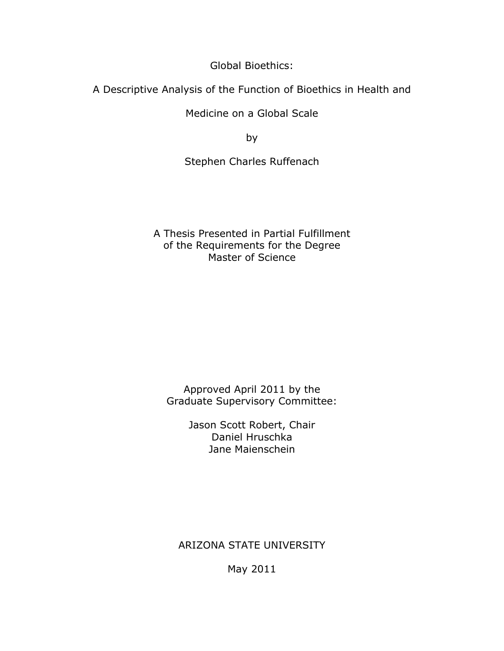Global Bioethics:

A Descriptive Analysis of the Function of Bioethics in Health and

Medicine on a Global Scale

by

Stephen Charles Ruffenach

A Thesis Presented in Partial Fulfillment of the Requirements for the Degree Master of Science

Approved April 2011 by the Graduate Supervisory Committee:

> Jason Scott Robert, Chair Daniel Hruschka Jane Maienschein

ARIZONA STATE UNIVERSITY

May 2011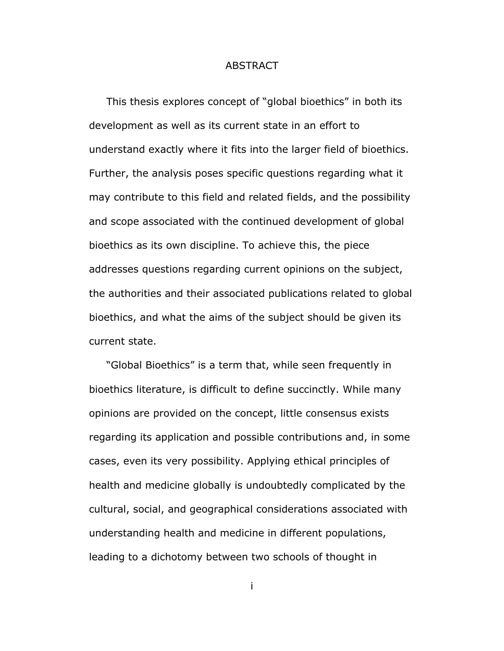# ABSTRACT

 This thesis explores concept of "global bioethics" in both its development as well as its current state in an effort to understand exactly where it fits into the larger field of bioethics. Further, the analysis poses specific questions regarding what it may contribute to this field and related fields, and the possibility and scope associated with the continued development of global bioethics as its own discipline. To achieve this, the piece addresses questions regarding current opinions on the subject, the authorities and their associated publications related to global bioethics, and what the aims of the subject should be given its current state.

 "Global Bioethics" is a term that, while seen frequently in bioethics literature, is difficult to define succinctly. While many opinions are provided on the concept, little consensus exists regarding its application and possible contributions and, in some cases, even its very possibility. Applying ethical principles of health and medicine globally is undoubtedly complicated by the cultural, social, and geographical considerations associated with understanding health and medicine in different populations, leading to a dichotomy between two schools of thought in

i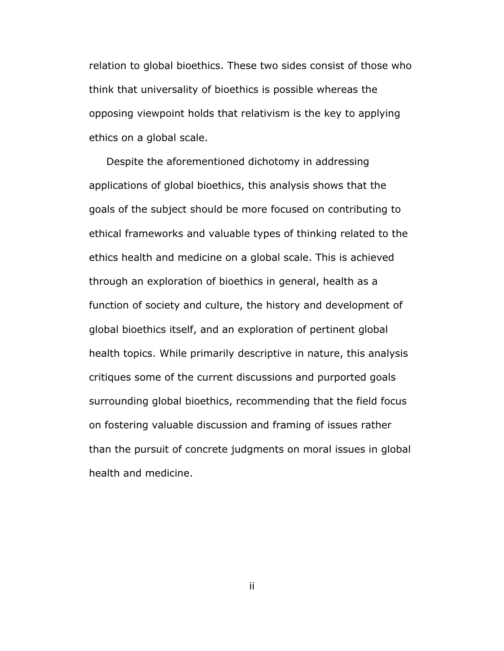relation to global bioethics. These two sides consist of those who think that universality of bioethics is possible whereas the opposing viewpoint holds that relativism is the key to applying ethics on a global scale.

 Despite the aforementioned dichotomy in addressing applications of global bioethics, this analysis shows that the goals of the subject should be more focused on contributing to ethical frameworks and valuable types of thinking related to the ethics health and medicine on a global scale. This is achieved through an exploration of bioethics in general, health as a function of society and culture, the history and development of global bioethics itself, and an exploration of pertinent global health topics. While primarily descriptive in nature, this analysis critiques some of the current discussions and purported goals surrounding global bioethics, recommending that the field focus on fostering valuable discussion and framing of issues rather than the pursuit of concrete judgments on moral issues in global health and medicine.

ii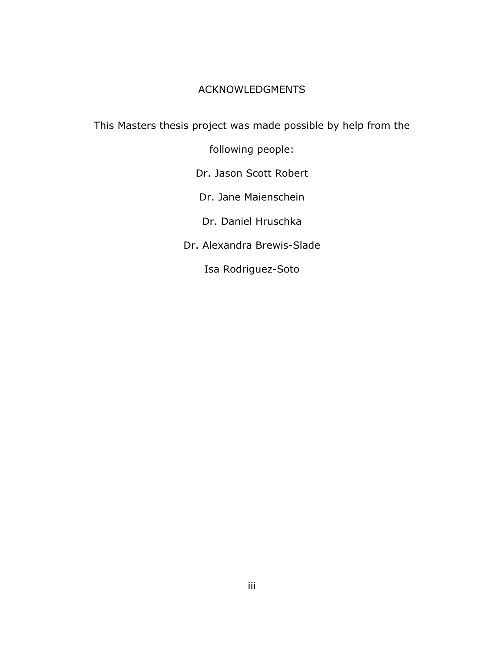# ACKNOWLEDGMENTS

This Masters thesis project was made possible by help from the

following people:

Dr. Jason Scott Robert

Dr. Jane Maienschein

Dr. Daniel Hruschka

Dr. Alexandra Brewis-Slade

Isa Rodriguez-Soto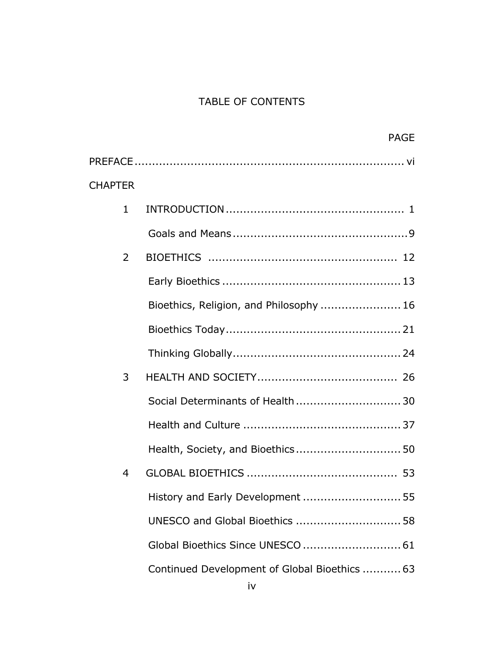# TABLE OF CONTENTS

|                | <b>PAGE</b>                                   |  |
|----------------|-----------------------------------------------|--|
|                |                                               |  |
| <b>CHAPTER</b> |                                               |  |
| $\mathbf{1}$   |                                               |  |
|                |                                               |  |
| 2              |                                               |  |
|                |                                               |  |
|                | Bioethics, Religion, and Philosophy  16       |  |
|                |                                               |  |
|                |                                               |  |
| 3              |                                               |  |
|                | Social Determinants of Health 30              |  |
|                |                                               |  |
|                | Health, Society, and Bioethics 50             |  |
| 4              |                                               |  |
|                | History and Early Development  55             |  |
|                | UNESCO and Global Bioethics  58               |  |
|                | Global Bioethics Since UNESCO  61             |  |
|                | Continued Development of Global Bioethics  63 |  |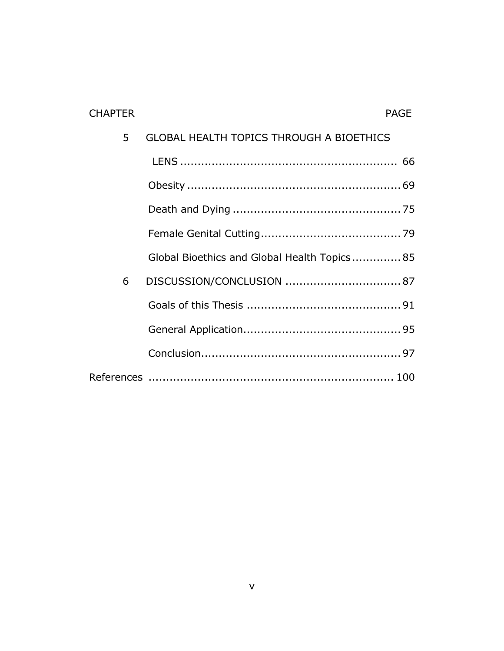| <b>CHAPTER</b> | <b>PAGE</b>                                     |
|----------------|-------------------------------------------------|
| 5              | <b>GLOBAL HEALTH TOPICS THROUGH A BIOETHICS</b> |
|                |                                                 |
|                |                                                 |
|                |                                                 |
|                |                                                 |
|                | Global Bioethics and Global Health Topics 85    |
| 6              |                                                 |
|                |                                                 |
|                |                                                 |
|                |                                                 |
|                |                                                 |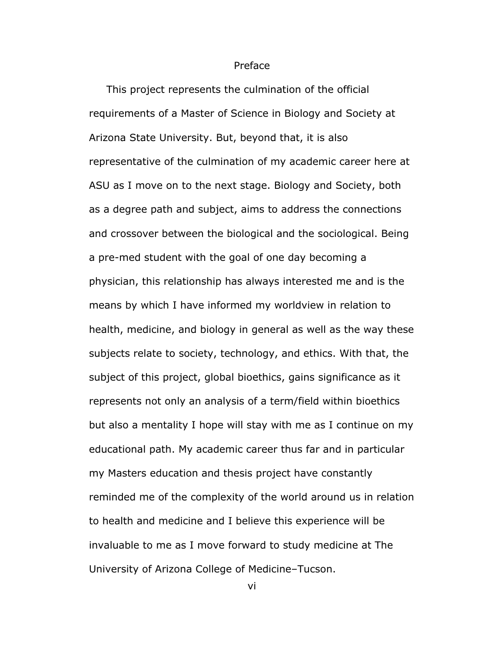#### Preface

 This project represents the culmination of the official requirements of a Master of Science in Biology and Society at Arizona State University. But, beyond that, it is also representative of the culmination of my academic career here at ASU as I move on to the next stage. Biology and Society, both as a degree path and subject, aims to address the connections and crossover between the biological and the sociological. Being a pre-med student with the goal of one day becoming a physician, this relationship has always interested me and is the means by which I have informed my worldview in relation to health, medicine, and biology in general as well as the way these subjects relate to society, technology, and ethics. With that, the subject of this project, global bioethics, gains significance as it represents not only an analysis of a term/field within bioethics but also a mentality I hope will stay with me as I continue on my educational path. My academic career thus far and in particular my Masters education and thesis project have constantly reminded me of the complexity of the world around us in relation to health and medicine and I believe this experience will be invaluable to me as I move forward to study medicine at The University of Arizona College of Medicine–Tucson.

vi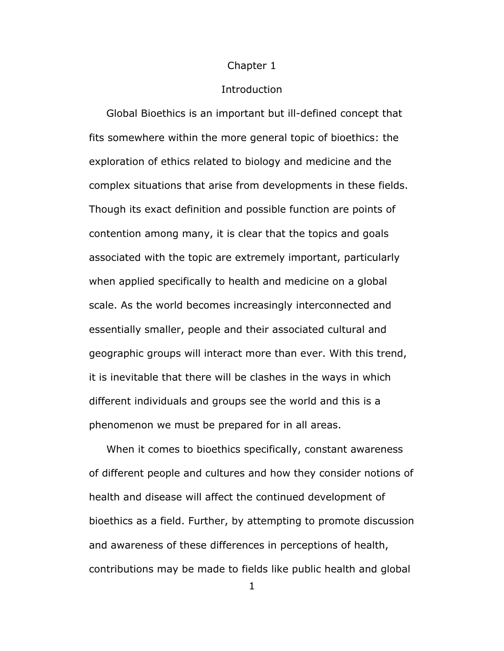#### Chapter 1

### Introduction

 Global Bioethics is an important but ill-defined concept that fits somewhere within the more general topic of bioethics: the exploration of ethics related to biology and medicine and the complex situations that arise from developments in these fields. Though its exact definition and possible function are points of contention among many, it is clear that the topics and goals associated with the topic are extremely important, particularly when applied specifically to health and medicine on a global scale. As the world becomes increasingly interconnected and essentially smaller, people and their associated cultural and geographic groups will interact more than ever. With this trend, it is inevitable that there will be clashes in the ways in which different individuals and groups see the world and this is a phenomenon we must be prepared for in all areas.

 When it comes to bioethics specifically, constant awareness of different people and cultures and how they consider notions of health and disease will affect the continued development of bioethics as a field. Further, by attempting to promote discussion and awareness of these differences in perceptions of health, contributions may be made to fields like public health and global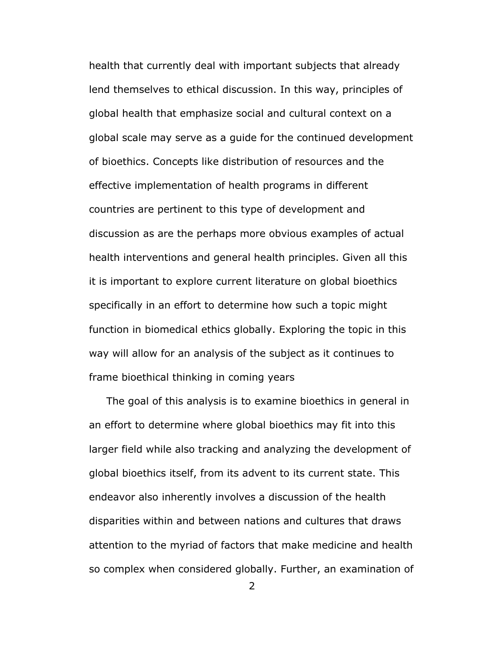health that currently deal with important subjects that already lend themselves to ethical discussion. In this way, principles of global health that emphasize social and cultural context on a global scale may serve as a guide for the continued development of bioethics. Concepts like distribution of resources and the effective implementation of health programs in different countries are pertinent to this type of development and discussion as are the perhaps more obvious examples of actual health interventions and general health principles. Given all this it is important to explore current literature on global bioethics specifically in an effort to determine how such a topic might function in biomedical ethics globally. Exploring the topic in this way will allow for an analysis of the subject as it continues to frame bioethical thinking in coming years

 The goal of this analysis is to examine bioethics in general in an effort to determine where global bioethics may fit into this larger field while also tracking and analyzing the development of global bioethics itself, from its advent to its current state. This endeavor also inherently involves a discussion of the health disparities within and between nations and cultures that draws attention to the myriad of factors that make medicine and health so complex when considered globally. Further, an examination of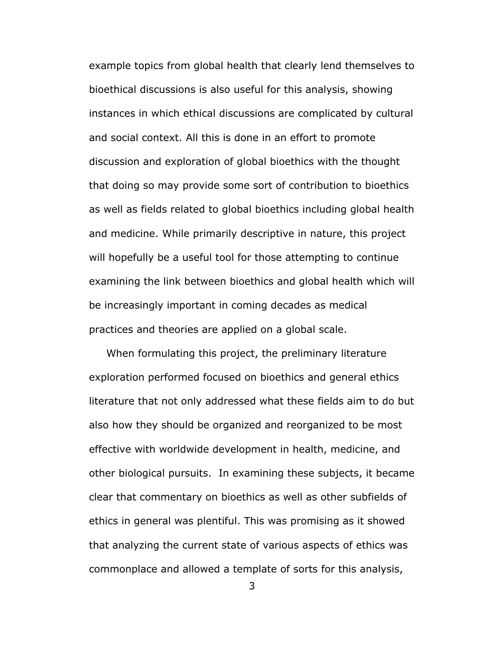example topics from global health that clearly lend themselves to bioethical discussions is also useful for this analysis, showing instances in which ethical discussions are complicated by cultural and social context. All this is done in an effort to promote discussion and exploration of global bioethics with the thought that doing so may provide some sort of contribution to bioethics as well as fields related to global bioethics including global health and medicine. While primarily descriptive in nature, this project will hopefully be a useful tool for those attempting to continue examining the link between bioethics and global health which will be increasingly important in coming decades as medical practices and theories are applied on a global scale.

 When formulating this project, the preliminary literature exploration performed focused on bioethics and general ethics literature that not only addressed what these fields aim to do but also how they should be organized and reorganized to be most effective with worldwide development in health, medicine, and other biological pursuits. In examining these subjects, it became clear that commentary on bioethics as well as other subfields of ethics in general was plentiful. This was promising as it showed that analyzing the current state of various aspects of ethics was commonplace and allowed a template of sorts for this analysis,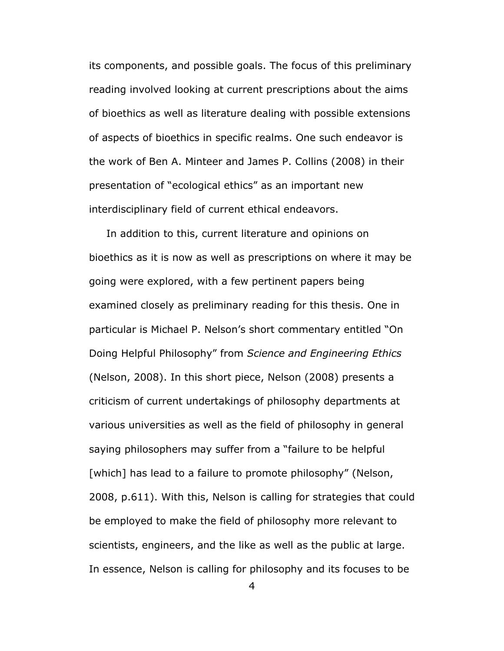its components, and possible goals. The focus of this preliminary reading involved looking at current prescriptions about the aims of bioethics as well as literature dealing with possible extensions of aspects of bioethics in specific realms. One such endeavor is the work of Ben A. Minteer and James P. Collins (2008) in their presentation of "ecological ethics" as an important new interdisciplinary field of current ethical endeavors.

 In addition to this, current literature and opinions on bioethics as it is now as well as prescriptions on where it may be going were explored, with a few pertinent papers being examined closely as preliminary reading for this thesis. One in particular is Michael P. Nelson's short commentary entitled "On Doing Helpful Philosophy" from *Science and Engineering Ethics* (Nelson, 2008). In this short piece, Nelson (2008) presents a criticism of current undertakings of philosophy departments at various universities as well as the field of philosophy in general saying philosophers may suffer from a "failure to be helpful [which] has lead to a failure to promote philosophy" (Nelson, 2008, p.611). With this, Nelson is calling for strategies that could be employed to make the field of philosophy more relevant to scientists, engineers, and the like as well as the public at large. In essence, Nelson is calling for philosophy and its focuses to be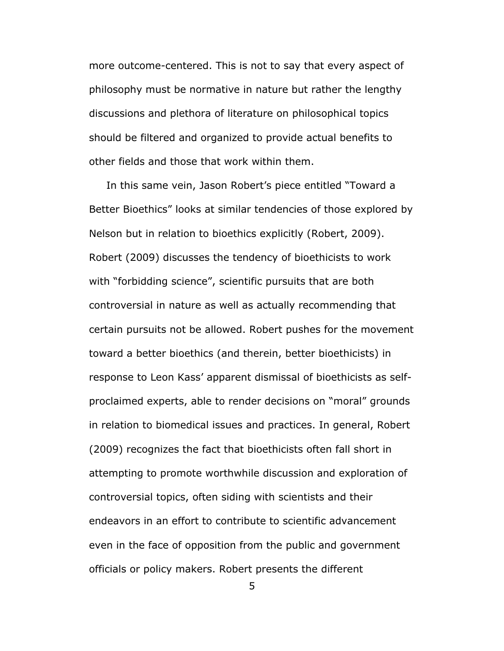more outcome-centered. This is not to say that every aspect of philosophy must be normative in nature but rather the lengthy discussions and plethora of literature on philosophical topics should be filtered and organized to provide actual benefits to other fields and those that work within them.

 In this same vein, Jason Robert's piece entitled "Toward a Better Bioethics" looks at similar tendencies of those explored by Nelson but in relation to bioethics explicitly (Robert, 2009). Robert (2009) discusses the tendency of bioethicists to work with "forbidding science", scientific pursuits that are both controversial in nature as well as actually recommending that certain pursuits not be allowed. Robert pushes for the movement toward a better bioethics (and therein, better bioethicists) in response to Leon Kass' apparent dismissal of bioethicists as selfproclaimed experts, able to render decisions on "moral" grounds in relation to biomedical issues and practices. In general, Robert (2009) recognizes the fact that bioethicists often fall short in attempting to promote worthwhile discussion and exploration of controversial topics, often siding with scientists and their endeavors in an effort to contribute to scientific advancement even in the face of opposition from the public and government officials or policy makers. Robert presents the different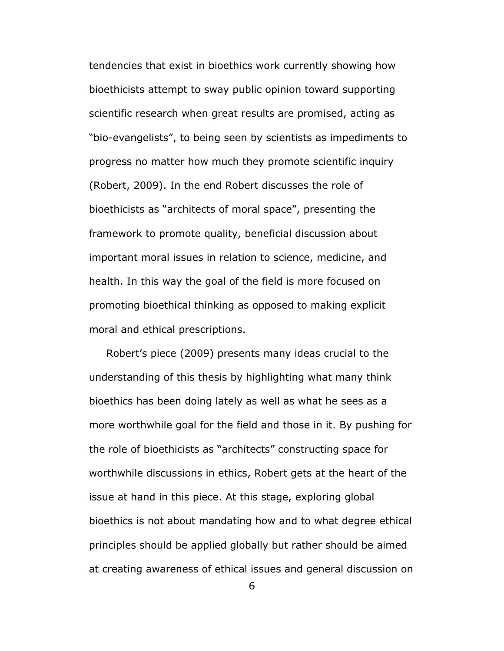tendencies that exist in bioethics work currently showing how bioethicists attempt to sway public opinion toward supporting scientific research when great results are promised, acting as "bio-evangelists", to being seen by scientists as impediments to progress no matter how much they promote scientific inquiry (Robert, 2009). In the end Robert discusses the role of bioethicists as "architects of moral space", presenting the framework to promote quality, beneficial discussion about important moral issues in relation to science, medicine, and health. In this way the goal of the field is more focused on promoting bioethical thinking as opposed to making explicit moral and ethical prescriptions.

 Robert's piece (2009) presents many ideas crucial to the understanding of this thesis by highlighting what many think bioethics has been doing lately as well as what he sees as a more worthwhile goal for the field and those in it. By pushing for the role of bioethicists as "architects" constructing space for worthwhile discussions in ethics, Robert gets at the heart of the issue at hand in this piece. At this stage, exploring global bioethics is not about mandating how and to what degree ethical principles should be applied globally but rather should be aimed at creating awareness of ethical issues and general discussion on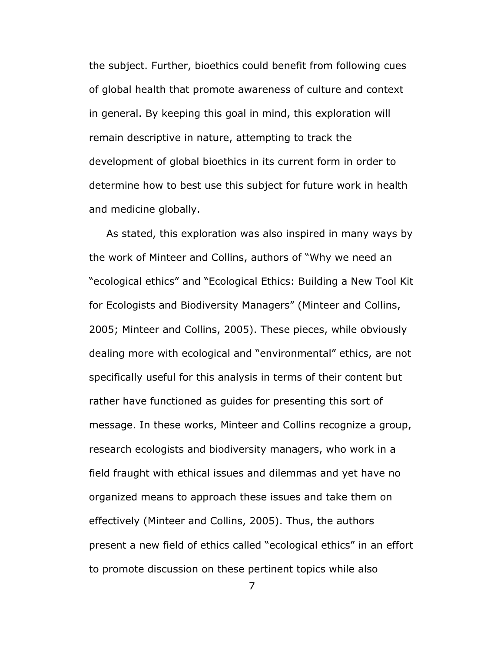the subject. Further, bioethics could benefit from following cues of global health that promote awareness of culture and context in general. By keeping this goal in mind, this exploration will remain descriptive in nature, attempting to track the development of global bioethics in its current form in order to determine how to best use this subject for future work in health and medicine globally.

 As stated, this exploration was also inspired in many ways by the work of Minteer and Collins, authors of "Why we need an "ecological ethics" and "Ecological Ethics: Building a New Tool Kit for Ecologists and Biodiversity Managers" (Minteer and Collins, 2005; Minteer and Collins, 2005). These pieces, while obviously dealing more with ecological and "environmental" ethics, are not specifically useful for this analysis in terms of their content but rather have functioned as guides for presenting this sort of message. In these works, Minteer and Collins recognize a group, research ecologists and biodiversity managers, who work in a field fraught with ethical issues and dilemmas and yet have no organized means to approach these issues and take them on effectively (Minteer and Collins, 2005). Thus, the authors present a new field of ethics called "ecological ethics" in an effort to promote discussion on these pertinent topics while also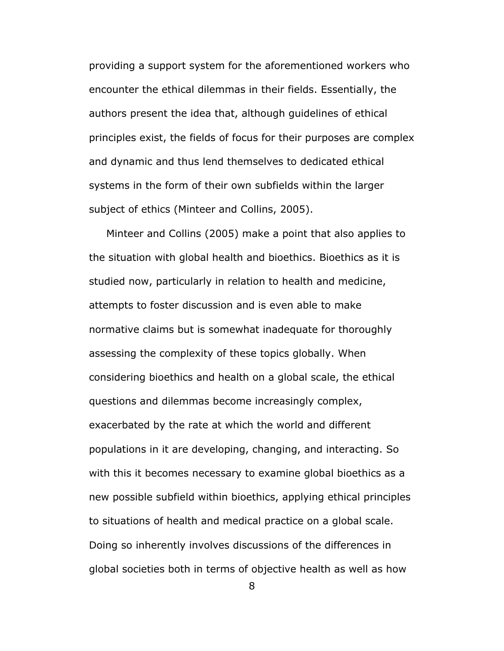providing a support system for the aforementioned workers who encounter the ethical dilemmas in their fields. Essentially, the authors present the idea that, although guidelines of ethical principles exist, the fields of focus for their purposes are complex and dynamic and thus lend themselves to dedicated ethical systems in the form of their own subfields within the larger subject of ethics (Minteer and Collins, 2005).

 Minteer and Collins (2005) make a point that also applies to the situation with global health and bioethics. Bioethics as it is studied now, particularly in relation to health and medicine, attempts to foster discussion and is even able to make normative claims but is somewhat inadequate for thoroughly assessing the complexity of these topics globally. When considering bioethics and health on a global scale, the ethical questions and dilemmas become increasingly complex, exacerbated by the rate at which the world and different populations in it are developing, changing, and interacting. So with this it becomes necessary to examine global bioethics as a new possible subfield within bioethics, applying ethical principles to situations of health and medical practice on a global scale. Doing so inherently involves discussions of the differences in global societies both in terms of objective health as well as how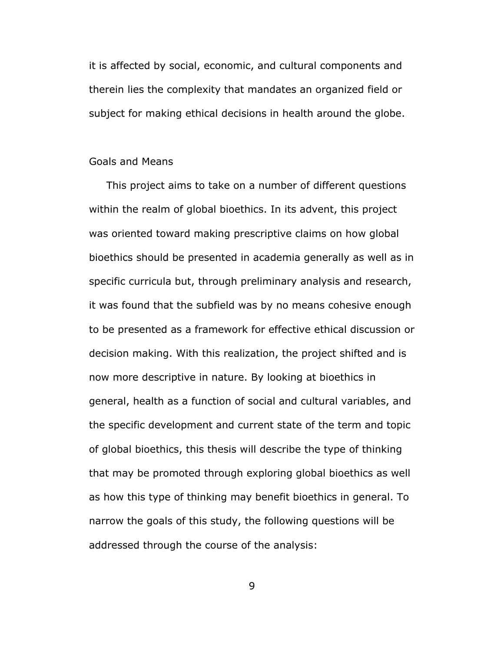it is affected by social, economic, and cultural components and therein lies the complexity that mandates an organized field or subject for making ethical decisions in health around the globe.

### Goals and Means

 This project aims to take on a number of different questions within the realm of global bioethics. In its advent, this project was oriented toward making prescriptive claims on how global bioethics should be presented in academia generally as well as in specific curricula but, through preliminary analysis and research, it was found that the subfield was by no means cohesive enough to be presented as a framework for effective ethical discussion or decision making. With this realization, the project shifted and is now more descriptive in nature. By looking at bioethics in general, health as a function of social and cultural variables, and the specific development and current state of the term and topic of global bioethics, this thesis will describe the type of thinking that may be promoted through exploring global bioethics as well as how this type of thinking may benefit bioethics in general. To narrow the goals of this study, the following questions will be addressed through the course of the analysis: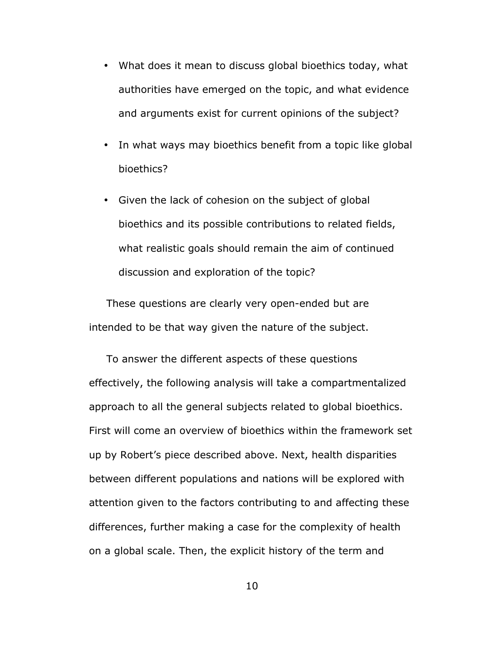- What does it mean to discuss global bioethics today, what authorities have emerged on the topic, and what evidence and arguments exist for current opinions of the subject?
- In what ways may bioethics benefit from a topic like global bioethics?
- Given the lack of cohesion on the subject of global bioethics and its possible contributions to related fields, what realistic goals should remain the aim of continued discussion and exploration of the topic?

 These questions are clearly very open-ended but are intended to be that way given the nature of the subject.

 To answer the different aspects of these questions effectively, the following analysis will take a compartmentalized approach to all the general subjects related to global bioethics. First will come an overview of bioethics within the framework set up by Robert's piece described above. Next, health disparities between different populations and nations will be explored with attention given to the factors contributing to and affecting these differences, further making a case for the complexity of health on a global scale. Then, the explicit history of the term and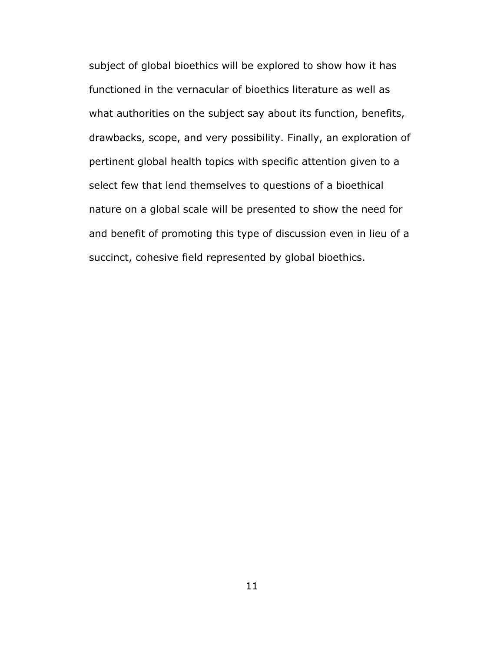subject of global bioethics will be explored to show how it has functioned in the vernacular of bioethics literature as well as what authorities on the subject say about its function, benefits, drawbacks, scope, and very possibility. Finally, an exploration of pertinent global health topics with specific attention given to a select few that lend themselves to questions of a bioethical nature on a global scale will be presented to show the need for and benefit of promoting this type of discussion even in lieu of a succinct, cohesive field represented by global bioethics.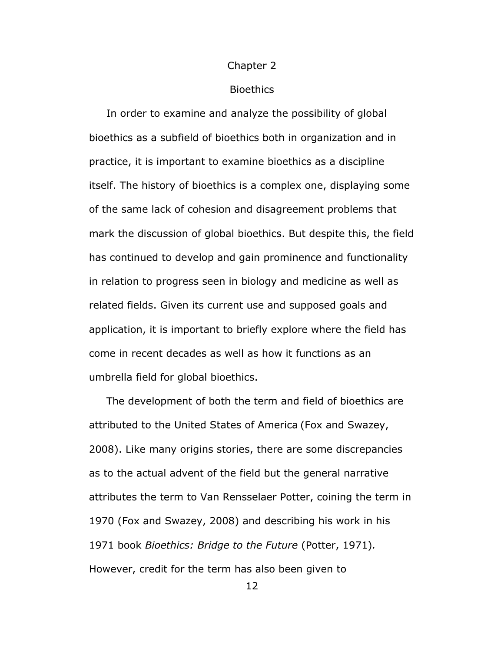#### Chapter 2

#### **Bioethics**

 In order to examine and analyze the possibility of global bioethics as a subfield of bioethics both in organization and in practice, it is important to examine bioethics as a discipline itself. The history of bioethics is a complex one, displaying some of the same lack of cohesion and disagreement problems that mark the discussion of global bioethics. But despite this, the field has continued to develop and gain prominence and functionality in relation to progress seen in biology and medicine as well as related fields. Given its current use and supposed goals and application, it is important to briefly explore where the field has come in recent decades as well as how it functions as an umbrella field for global bioethics.

 The development of both the term and field of bioethics are attributed to the United States of America (Fox and Swazey, 2008). Like many origins stories, there are some discrepancies as to the actual advent of the field but the general narrative attributes the term to Van Rensselaer Potter, coining the term in 1970 (Fox and Swazey, 2008) and describing his work in his 1971 book *Bioethics: Bridge to the Future* (Potter, 1971)*.*  However, credit for the term has also been given to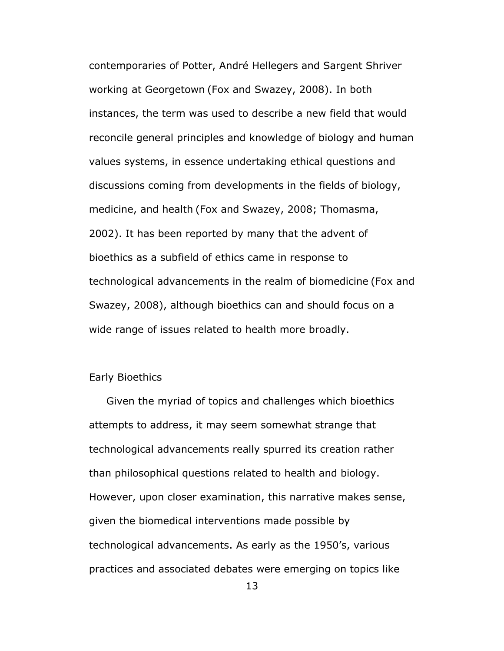contemporaries of Potter, André Hellegers and Sargent Shriver working at Georgetown (Fox and Swazey, 2008). In both instances, the term was used to describe a new field that would reconcile general principles and knowledge of biology and human values systems, in essence undertaking ethical questions and discussions coming from developments in the fields of biology, medicine, and health (Fox and Swazey, 2008; Thomasma, 2002). It has been reported by many that the advent of bioethics as a subfield of ethics came in response to technological advancements in the realm of biomedicine (Fox and Swazey, 2008), although bioethics can and should focus on a wide range of issues related to health more broadly.

# Early Bioethics

 Given the myriad of topics and challenges which bioethics attempts to address, it may seem somewhat strange that technological advancements really spurred its creation rather than philosophical questions related to health and biology. However, upon closer examination, this narrative makes sense, given the biomedical interventions made possible by technological advancements. As early as the 1950's, various practices and associated debates were emerging on topics like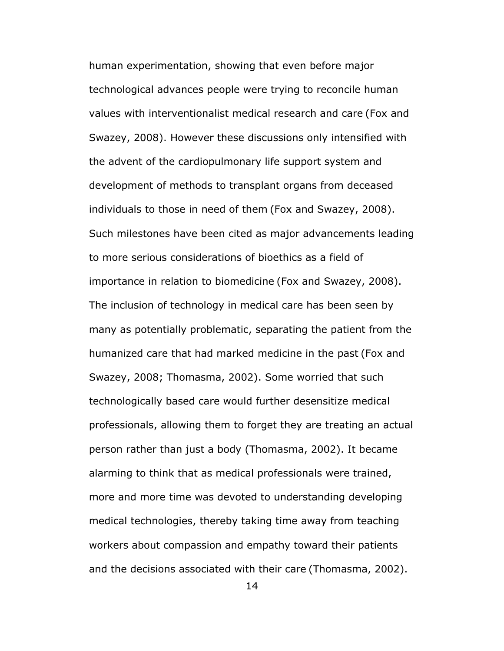human experimentation, showing that even before major technological advances people were trying to reconcile human values with interventionalist medical research and care (Fox and Swazey, 2008). However these discussions only intensified with the advent of the cardiopulmonary life support system and development of methods to transplant organs from deceased individuals to those in need of them (Fox and Swazey, 2008). Such milestones have been cited as major advancements leading to more serious considerations of bioethics as a field of importance in relation to biomedicine (Fox and Swazey, 2008). The inclusion of technology in medical care has been seen by many as potentially problematic, separating the patient from the humanized care that had marked medicine in the past (Fox and Swazey, 2008; Thomasma, 2002). Some worried that such technologically based care would further desensitize medical professionals, allowing them to forget they are treating an actual person rather than just a body (Thomasma, 2002). It became alarming to think that as medical professionals were trained, more and more time was devoted to understanding developing medical technologies, thereby taking time away from teaching workers about compassion and empathy toward their patients and the decisions associated with their care (Thomasma, 2002).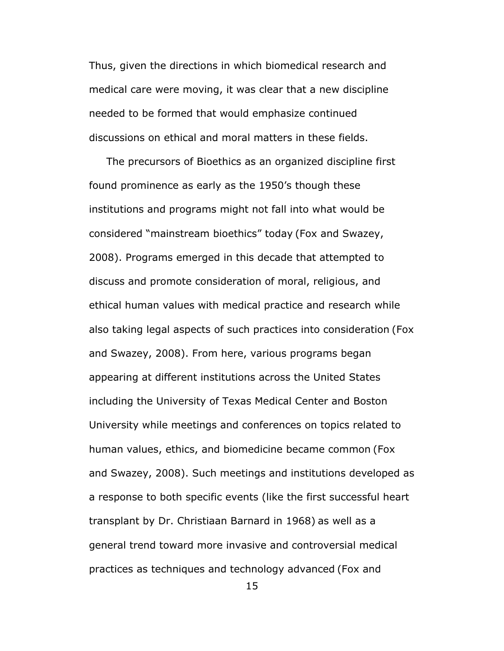Thus, given the directions in which biomedical research and medical care were moving, it was clear that a new discipline needed to be formed that would emphasize continued discussions on ethical and moral matters in these fields.

 The precursors of Bioethics as an organized discipline first found prominence as early as the 1950's though these institutions and programs might not fall into what would be considered "mainstream bioethics" today (Fox and Swazey, 2008). Programs emerged in this decade that attempted to discuss and promote consideration of moral, religious, and ethical human values with medical practice and research while also taking legal aspects of such practices into consideration (Fox and Swazey, 2008). From here, various programs began appearing at different institutions across the United States including the University of Texas Medical Center and Boston University while meetings and conferences on topics related to human values, ethics, and biomedicine became common (Fox and Swazey, 2008). Such meetings and institutions developed as a response to both specific events (like the first successful heart transplant by Dr. Christiaan Barnard in 1968) as well as a general trend toward more invasive and controversial medical practices as techniques and technology advanced (Fox and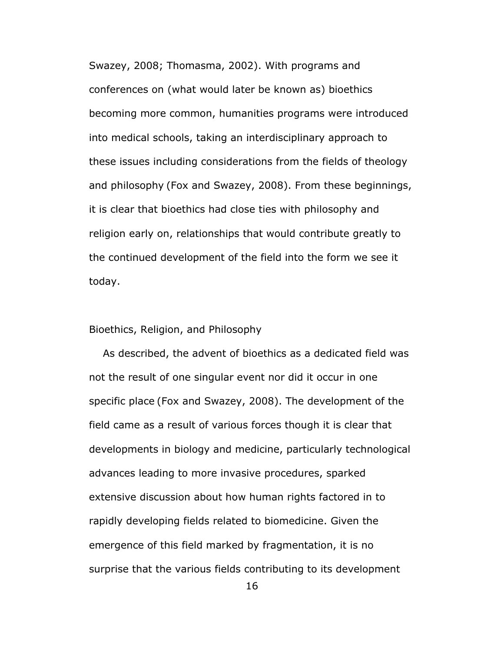Swazey, 2008; Thomasma, 2002). With programs and conferences on (what would later be known as) bioethics becoming more common, humanities programs were introduced into medical schools, taking an interdisciplinary approach to these issues including considerations from the fields of theology and philosophy (Fox and Swazey, 2008). From these beginnings, it is clear that bioethics had close ties with philosophy and religion early on, relationships that would contribute greatly to the continued development of the field into the form we see it today.

# Bioethics, Religion, and Philosophy

 As described, the advent of bioethics as a dedicated field was not the result of one singular event nor did it occur in one specific place (Fox and Swazey, 2008). The development of the field came as a result of various forces though it is clear that developments in biology and medicine, particularly technological advances leading to more invasive procedures, sparked extensive discussion about how human rights factored in to rapidly developing fields related to biomedicine. Given the emergence of this field marked by fragmentation, it is no surprise that the various fields contributing to its development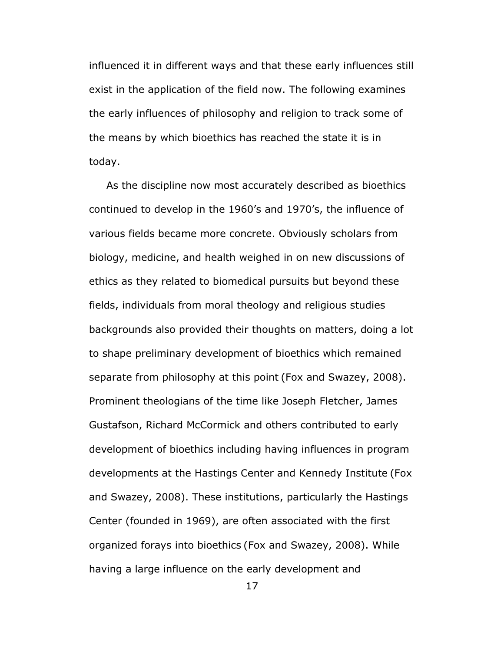influenced it in different ways and that these early influences still exist in the application of the field now. The following examines the early influences of philosophy and religion to track some of the means by which bioethics has reached the state it is in today.

 As the discipline now most accurately described as bioethics continued to develop in the 1960's and 1970's, the influence of various fields became more concrete. Obviously scholars from biology, medicine, and health weighed in on new discussions of ethics as they related to biomedical pursuits but beyond these fields, individuals from moral theology and religious studies backgrounds also provided their thoughts on matters, doing a lot to shape preliminary development of bioethics which remained separate from philosophy at this point (Fox and Swazey, 2008). Prominent theologians of the time like Joseph Fletcher, James Gustafson, Richard McCormick and others contributed to early development of bioethics including having influences in program developments at the Hastings Center and Kennedy Institute (Fox and Swazey, 2008). These institutions, particularly the Hastings Center (founded in 1969), are often associated with the first organized forays into bioethics (Fox and Swazey, 2008). While having a large influence on the early development and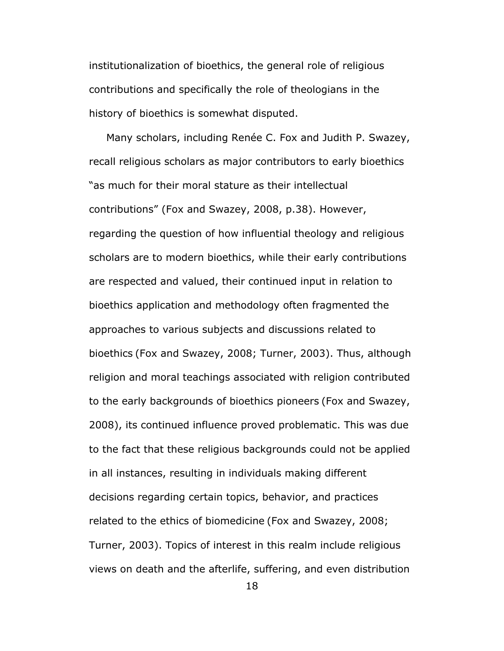institutionalization of bioethics, the general role of religious contributions and specifically the role of theologians in the history of bioethics is somewhat disputed.

 Many scholars, including Renée C. Fox and Judith P. Swazey, recall religious scholars as major contributors to early bioethics "as much for their moral stature as their intellectual contributions" (Fox and Swazey, 2008, p.38). However, regarding the question of how influential theology and religious scholars are to modern bioethics, while their early contributions are respected and valued, their continued input in relation to bioethics application and methodology often fragmented the approaches to various subjects and discussions related to bioethics (Fox and Swazey, 2008; Turner, 2003). Thus, although religion and moral teachings associated with religion contributed to the early backgrounds of bioethics pioneers (Fox and Swazey, 2008), its continued influence proved problematic. This was due to the fact that these religious backgrounds could not be applied in all instances, resulting in individuals making different decisions regarding certain topics, behavior, and practices related to the ethics of biomedicine (Fox and Swazey, 2008; Turner, 2003). Topics of interest in this realm include religious views on death and the afterlife, suffering, and even distribution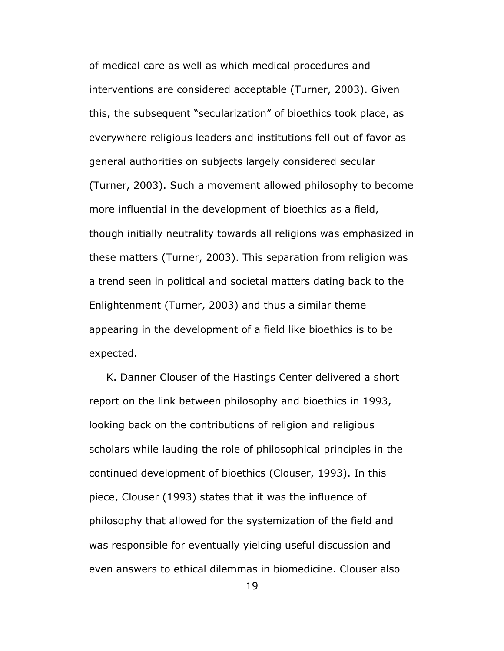of medical care as well as which medical procedures and interventions are considered acceptable (Turner, 2003). Given this, the subsequent "secularization" of bioethics took place, as everywhere religious leaders and institutions fell out of favor as general authorities on subjects largely considered secular (Turner, 2003). Such a movement allowed philosophy to become more influential in the development of bioethics as a field, though initially neutrality towards all religions was emphasized in these matters (Turner, 2003). This separation from religion was a trend seen in political and societal matters dating back to the Enlightenment (Turner, 2003) and thus a similar theme appearing in the development of a field like bioethics is to be expected.

 K. Danner Clouser of the Hastings Center delivered a short report on the link between philosophy and bioethics in 1993, looking back on the contributions of religion and religious scholars while lauding the role of philosophical principles in the continued development of bioethics (Clouser, 1993). In this piece, Clouser (1993) states that it was the influence of philosophy that allowed for the systemization of the field and was responsible for eventually yielding useful discussion and even answers to ethical dilemmas in biomedicine. Clouser also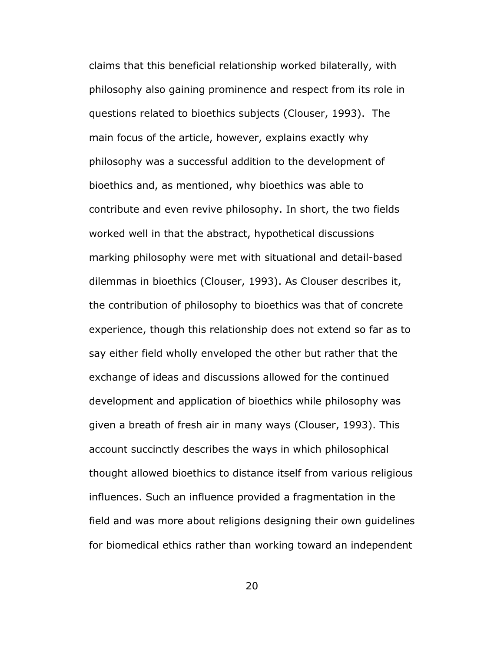claims that this beneficial relationship worked bilaterally, with philosophy also gaining prominence and respect from its role in questions related to bioethics subjects (Clouser, 1993). The main focus of the article, however, explains exactly why philosophy was a successful addition to the development of bioethics and, as mentioned, why bioethics was able to contribute and even revive philosophy. In short, the two fields worked well in that the abstract, hypothetical discussions marking philosophy were met with situational and detail-based dilemmas in bioethics (Clouser, 1993). As Clouser describes it, the contribution of philosophy to bioethics was that of concrete experience, though this relationship does not extend so far as to say either field wholly enveloped the other but rather that the exchange of ideas and discussions allowed for the continued development and application of bioethics while philosophy was given a breath of fresh air in many ways (Clouser, 1993). This account succinctly describes the ways in which philosophical thought allowed bioethics to distance itself from various religious influences. Such an influence provided a fragmentation in the field and was more about religions designing their own guidelines for biomedical ethics rather than working toward an independent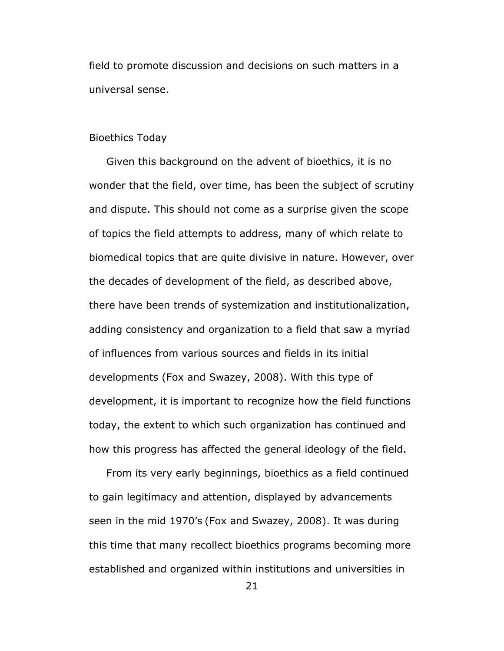field to promote discussion and decisions on such matters in a universal sense.

# Bioethics Today

 Given this background on the advent of bioethics, it is no wonder that the field, over time, has been the subject of scrutiny and dispute. This should not come as a surprise given the scope of topics the field attempts to address, many of which relate to biomedical topics that are quite divisive in nature. However, over the decades of development of the field, as described above, there have been trends of systemization and institutionalization, adding consistency and organization to a field that saw a myriad of influences from various sources and fields in its initial developments (Fox and Swazey, 2008). With this type of development, it is important to recognize how the field functions today, the extent to which such organization has continued and how this progress has affected the general ideology of the field.

 From its very early beginnings, bioethics as a field continued to gain legitimacy and attention, displayed by advancements seen in the mid 1970's (Fox and Swazey, 2008). It was during this time that many recollect bioethics programs becoming more established and organized within institutions and universities in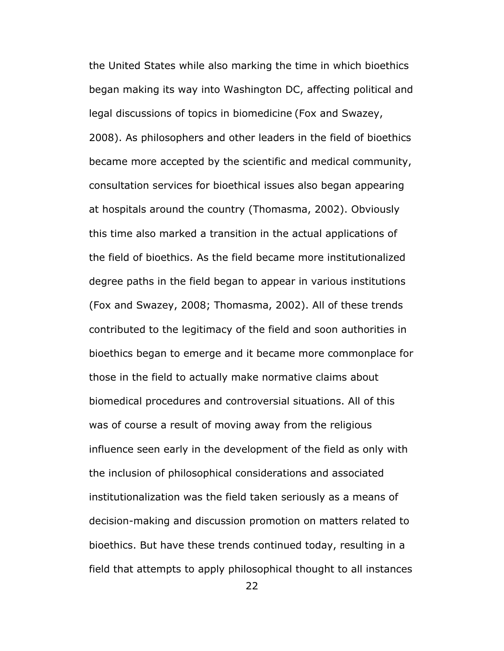the United States while also marking the time in which bioethics began making its way into Washington DC, affecting political and legal discussions of topics in biomedicine (Fox and Swazey, 2008). As philosophers and other leaders in the field of bioethics became more accepted by the scientific and medical community, consultation services for bioethical issues also began appearing at hospitals around the country (Thomasma, 2002). Obviously this time also marked a transition in the actual applications of the field of bioethics. As the field became more institutionalized degree paths in the field began to appear in various institutions (Fox and Swazey, 2008; Thomasma, 2002). All of these trends contributed to the legitimacy of the field and soon authorities in bioethics began to emerge and it became more commonplace for those in the field to actually make normative claims about biomedical procedures and controversial situations. All of this was of course a result of moving away from the religious influence seen early in the development of the field as only with the inclusion of philosophical considerations and associated institutionalization was the field taken seriously as a means of decision-making and discussion promotion on matters related to bioethics. But have these trends continued today, resulting in a field that attempts to apply philosophical thought to all instances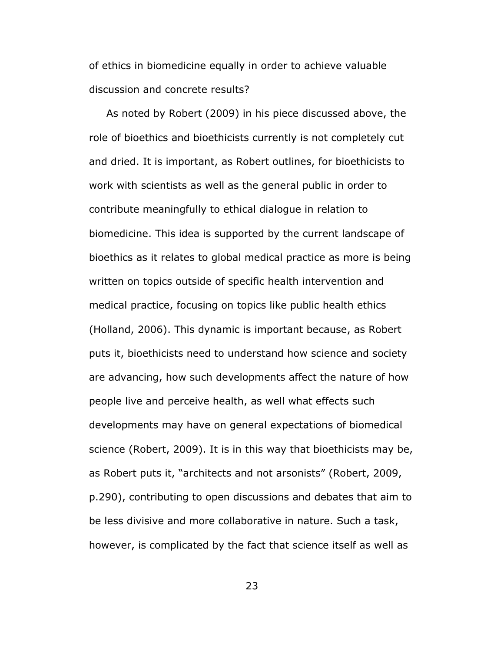of ethics in biomedicine equally in order to achieve valuable discussion and concrete results?

 As noted by Robert (2009) in his piece discussed above, the role of bioethics and bioethicists currently is not completely cut and dried. It is important, as Robert outlines, for bioethicists to work with scientists as well as the general public in order to contribute meaningfully to ethical dialogue in relation to biomedicine. This idea is supported by the current landscape of bioethics as it relates to global medical practice as more is being written on topics outside of specific health intervention and medical practice, focusing on topics like public health ethics (Holland, 2006). This dynamic is important because, as Robert puts it, bioethicists need to understand how science and society are advancing, how such developments affect the nature of how people live and perceive health, as well what effects such developments may have on general expectations of biomedical science (Robert, 2009). It is in this way that bioethicists may be, as Robert puts it, "architects and not arsonists" (Robert, 2009, p.290), contributing to open discussions and debates that aim to be less divisive and more collaborative in nature. Such a task, however, is complicated by the fact that science itself as well as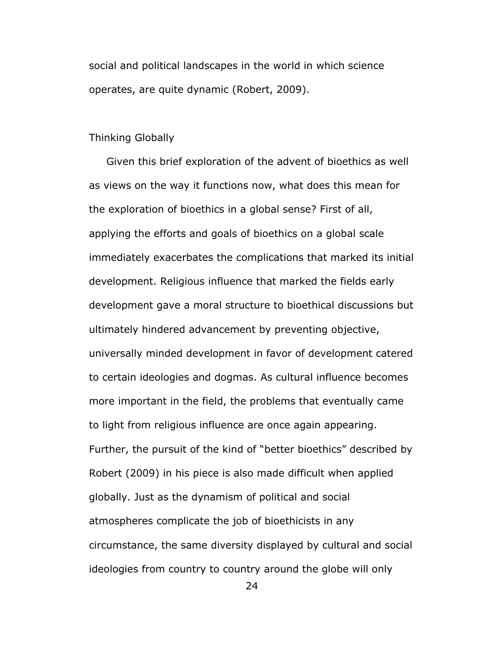social and political landscapes in the world in which science operates, are quite dynamic (Robert, 2009).

# Thinking Globally

 Given this brief exploration of the advent of bioethics as well as views on the way it functions now, what does this mean for the exploration of bioethics in a global sense? First of all, applying the efforts and goals of bioethics on a global scale immediately exacerbates the complications that marked its initial development. Religious influence that marked the fields early development gave a moral structure to bioethical discussions but ultimately hindered advancement by preventing objective, universally minded development in favor of development catered to certain ideologies and dogmas. As cultural influence becomes more important in the field, the problems that eventually came to light from religious influence are once again appearing. Further, the pursuit of the kind of "better bioethics" described by Robert (2009) in his piece is also made difficult when applied globally. Just as the dynamism of political and social atmospheres complicate the job of bioethicists in any circumstance, the same diversity displayed by cultural and social ideologies from country to country around the globe will only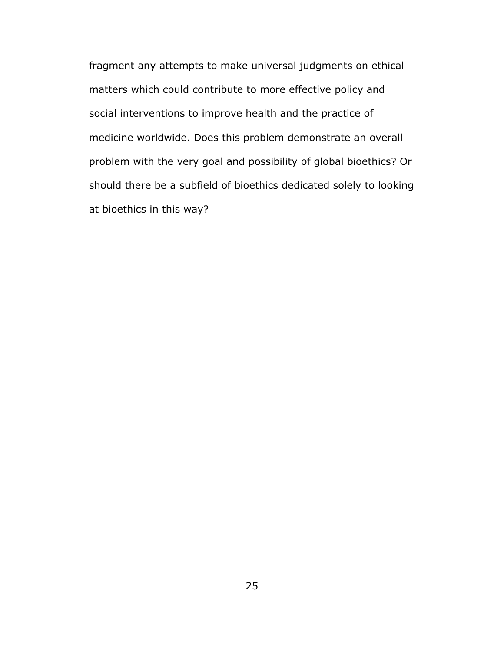fragment any attempts to make universal judgments on ethical matters which could contribute to more effective policy and social interventions to improve health and the practice of medicine worldwide. Does this problem demonstrate an overall problem with the very goal and possibility of global bioethics? Or should there be a subfield of bioethics dedicated solely to looking at bioethics in this way?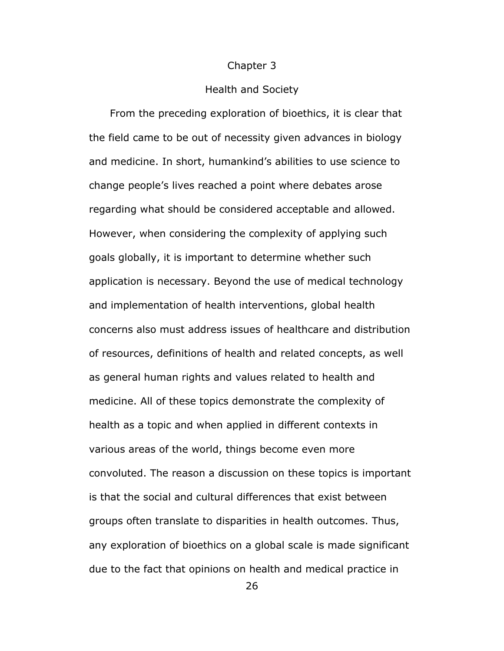#### Chapter 3

#### Health and Society

 From the preceding exploration of bioethics, it is clear that the field came to be out of necessity given advances in biology and medicine. In short, humankind's abilities to use science to change people's lives reached a point where debates arose regarding what should be considered acceptable and allowed. However, when considering the complexity of applying such goals globally, it is important to determine whether such application is necessary. Beyond the use of medical technology and implementation of health interventions, global health concerns also must address issues of healthcare and distribution of resources, definitions of health and related concepts, as well as general human rights and values related to health and medicine. All of these topics demonstrate the complexity of health as a topic and when applied in different contexts in various areas of the world, things become even more convoluted. The reason a discussion on these topics is important is that the social and cultural differences that exist between groups often translate to disparities in health outcomes. Thus, any exploration of bioethics on a global scale is made significant due to the fact that opinions on health and medical practice in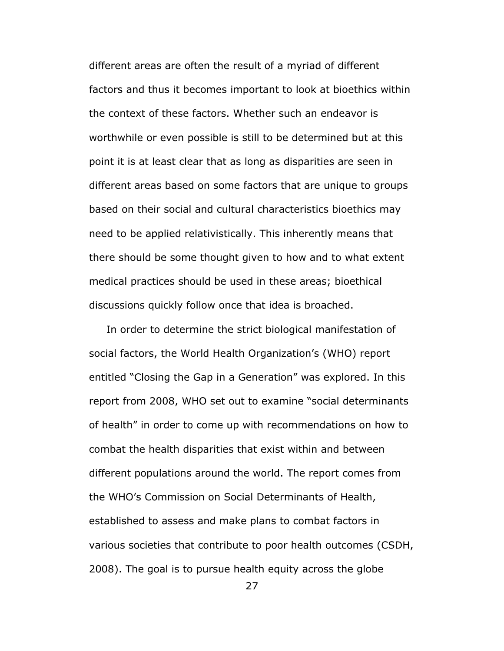different areas are often the result of a myriad of different factors and thus it becomes important to look at bioethics within the context of these factors. Whether such an endeavor is worthwhile or even possible is still to be determined but at this point it is at least clear that as long as disparities are seen in different areas based on some factors that are unique to groups based on their social and cultural characteristics bioethics may need to be applied relativistically. This inherently means that there should be some thought given to how and to what extent medical practices should be used in these areas; bioethical discussions quickly follow once that idea is broached.

 In order to determine the strict biological manifestation of social factors, the World Health Organization's (WHO) report entitled "Closing the Gap in a Generation" was explored. In this report from 2008, WHO set out to examine "social determinants of health" in order to come up with recommendations on how to combat the health disparities that exist within and between different populations around the world. The report comes from the WHO's Commission on Social Determinants of Health, established to assess and make plans to combat factors in various societies that contribute to poor health outcomes (CSDH, 2008). The goal is to pursue health equity across the globe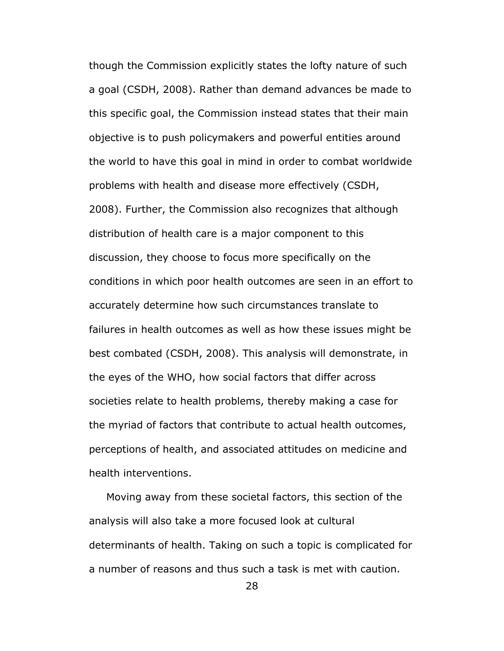though the Commission explicitly states the lofty nature of such a goal (CSDH, 2008). Rather than demand advances be made to this specific goal, the Commission instead states that their main objective is to push policymakers and powerful entities around the world to have this goal in mind in order to combat worldwide problems with health and disease more effectively (CSDH, 2008). Further, the Commission also recognizes that although distribution of health care is a major component to this discussion, they choose to focus more specifically on the conditions in which poor health outcomes are seen in an effort to accurately determine how such circumstances translate to failures in health outcomes as well as how these issues might be best combated (CSDH, 2008). This analysis will demonstrate, in the eyes of the WHO, how social factors that differ across societies relate to health problems, thereby making a case for the myriad of factors that contribute to actual health outcomes, perceptions of health, and associated attitudes on medicine and health interventions.

 Moving away from these societal factors, this section of the analysis will also take a more focused look at cultural determinants of health. Taking on such a topic is complicated for a number of reasons and thus such a task is met with caution.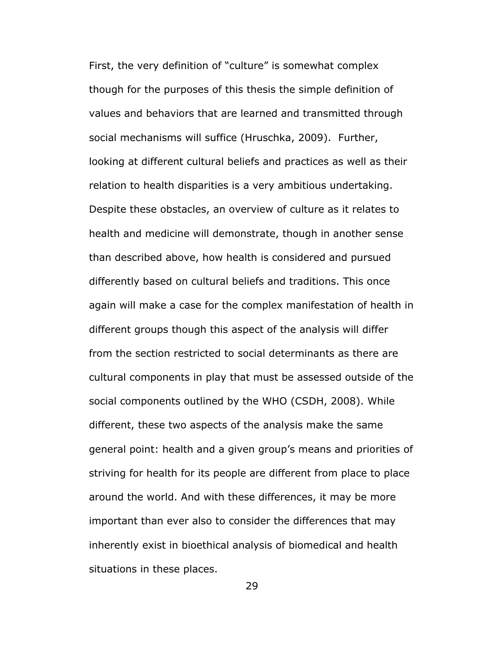First, the very definition of "culture" is somewhat complex though for the purposes of this thesis the simple definition of values and behaviors that are learned and transmitted through social mechanisms will suffice (Hruschka, 2009). Further, looking at different cultural beliefs and practices as well as their relation to health disparities is a very ambitious undertaking. Despite these obstacles, an overview of culture as it relates to health and medicine will demonstrate, though in another sense than described above, how health is considered and pursued differently based on cultural beliefs and traditions. This once again will make a case for the complex manifestation of health in different groups though this aspect of the analysis will differ from the section restricted to social determinants as there are cultural components in play that must be assessed outside of the social components outlined by the WHO (CSDH, 2008). While different, these two aspects of the analysis make the same general point: health and a given group's means and priorities of striving for health for its people are different from place to place around the world. And with these differences, it may be more important than ever also to consider the differences that may inherently exist in bioethical analysis of biomedical and health situations in these places.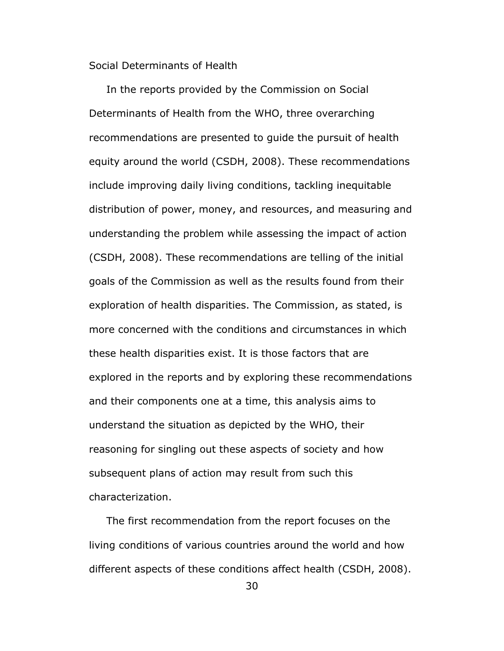Social Determinants of Health

 In the reports provided by the Commission on Social Determinants of Health from the WHO, three overarching recommendations are presented to guide the pursuit of health equity around the world (CSDH, 2008). These recommendations include improving daily living conditions, tackling inequitable distribution of power, money, and resources, and measuring and understanding the problem while assessing the impact of action (CSDH, 2008). These recommendations are telling of the initial goals of the Commission as well as the results found from their exploration of health disparities. The Commission, as stated, is more concerned with the conditions and circumstances in which these health disparities exist. It is those factors that are explored in the reports and by exploring these recommendations and their components one at a time, this analysis aims to understand the situation as depicted by the WHO, their reasoning for singling out these aspects of society and how subsequent plans of action may result from such this characterization.

 The first recommendation from the report focuses on the living conditions of various countries around the world and how different aspects of these conditions affect health (CSDH, 2008).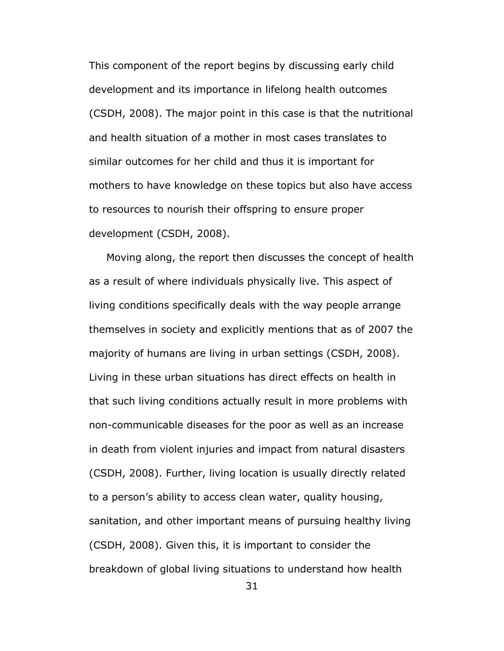This component of the report begins by discussing early child development and its importance in lifelong health outcomes (CSDH, 2008). The major point in this case is that the nutritional and health situation of a mother in most cases translates to similar outcomes for her child and thus it is important for mothers to have knowledge on these topics but also have access to resources to nourish their offspring to ensure proper development (CSDH, 2008).

 Moving along, the report then discusses the concept of health as a result of where individuals physically live. This aspect of living conditions specifically deals with the way people arrange themselves in society and explicitly mentions that as of 2007 the majority of humans are living in urban settings (CSDH, 2008). Living in these urban situations has direct effects on health in that such living conditions actually result in more problems with non-communicable diseases for the poor as well as an increase in death from violent injuries and impact from natural disasters (CSDH, 2008). Further, living location is usually directly related to a person's ability to access clean water, quality housing, sanitation, and other important means of pursuing healthy living (CSDH, 2008). Given this, it is important to consider the breakdown of global living situations to understand how health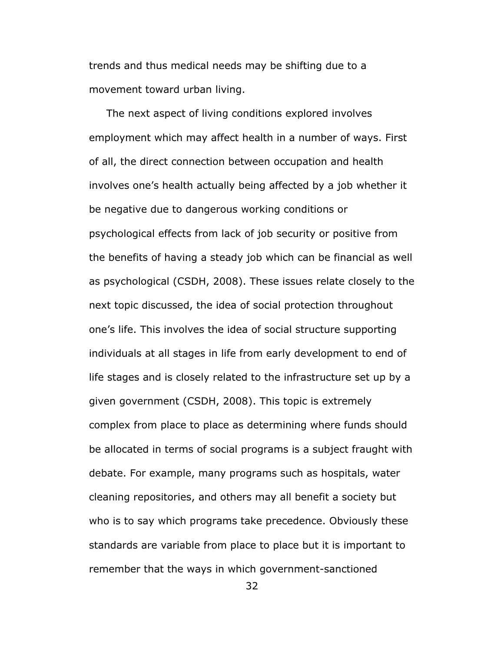trends and thus medical needs may be shifting due to a movement toward urban living.

 The next aspect of living conditions explored involves employment which may affect health in a number of ways. First of all, the direct connection between occupation and health involves one's health actually being affected by a job whether it be negative due to dangerous working conditions or psychological effects from lack of job security or positive from the benefits of having a steady job which can be financial as well as psychological (CSDH, 2008). These issues relate closely to the next topic discussed, the idea of social protection throughout one's life. This involves the idea of social structure supporting individuals at all stages in life from early development to end of life stages and is closely related to the infrastructure set up by a given government (CSDH, 2008). This topic is extremely complex from place to place as determining where funds should be allocated in terms of social programs is a subject fraught with debate. For example, many programs such as hospitals, water cleaning repositories, and others may all benefit a society but who is to say which programs take precedence. Obviously these standards are variable from place to place but it is important to remember that the ways in which government-sanctioned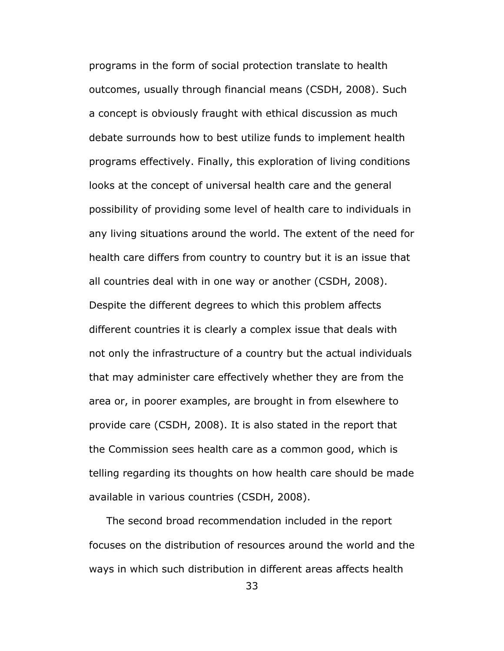programs in the form of social protection translate to health outcomes, usually through financial means (CSDH, 2008). Such a concept is obviously fraught with ethical discussion as much debate surrounds how to best utilize funds to implement health programs effectively. Finally, this exploration of living conditions looks at the concept of universal health care and the general possibility of providing some level of health care to individuals in any living situations around the world. The extent of the need for health care differs from country to country but it is an issue that all countries deal with in one way or another (CSDH, 2008). Despite the different degrees to which this problem affects different countries it is clearly a complex issue that deals with not only the infrastructure of a country but the actual individuals that may administer care effectively whether they are from the area or, in poorer examples, are brought in from elsewhere to provide care (CSDH, 2008). It is also stated in the report that the Commission sees health care as a common good, which is telling regarding its thoughts on how health care should be made available in various countries (CSDH, 2008).

 The second broad recommendation included in the report focuses on the distribution of resources around the world and the ways in which such distribution in different areas affects health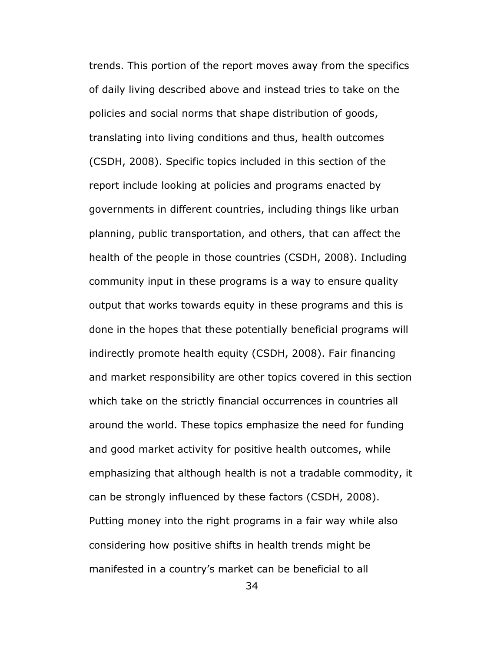trends. This portion of the report moves away from the specifics of daily living described above and instead tries to take on the policies and social norms that shape distribution of goods, translating into living conditions and thus, health outcomes (CSDH, 2008). Specific topics included in this section of the report include looking at policies and programs enacted by governments in different countries, including things like urban planning, public transportation, and others, that can affect the health of the people in those countries (CSDH, 2008). Including community input in these programs is a way to ensure quality output that works towards equity in these programs and this is done in the hopes that these potentially beneficial programs will indirectly promote health equity (CSDH, 2008). Fair financing and market responsibility are other topics covered in this section which take on the strictly financial occurrences in countries all around the world. These topics emphasize the need for funding and good market activity for positive health outcomes, while emphasizing that although health is not a tradable commodity, it can be strongly influenced by these factors (CSDH, 2008). Putting money into the right programs in a fair way while also considering how positive shifts in health trends might be manifested in a country's market can be beneficial to all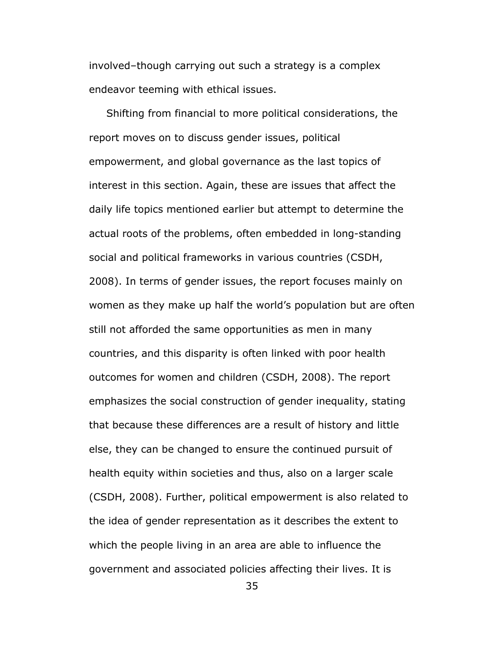involved–though carrying out such a strategy is a complex endeavor teeming with ethical issues.

 Shifting from financial to more political considerations, the report moves on to discuss gender issues, political empowerment, and global governance as the last topics of interest in this section. Again, these are issues that affect the daily life topics mentioned earlier but attempt to determine the actual roots of the problems, often embedded in long-standing social and political frameworks in various countries (CSDH, 2008). In terms of gender issues, the report focuses mainly on women as they make up half the world's population but are often still not afforded the same opportunities as men in many countries, and this disparity is often linked with poor health outcomes for women and children (CSDH, 2008). The report emphasizes the social construction of gender inequality, stating that because these differences are a result of history and little else, they can be changed to ensure the continued pursuit of health equity within societies and thus, also on a larger scale (CSDH, 2008). Further, political empowerment is also related to the idea of gender representation as it describes the extent to which the people living in an area are able to influence the government and associated policies affecting their lives. It is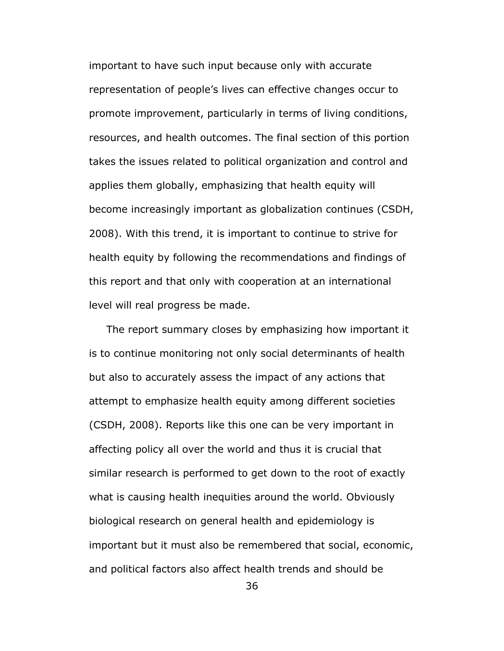important to have such input because only with accurate representation of people's lives can effective changes occur to promote improvement, particularly in terms of living conditions, resources, and health outcomes. The final section of this portion takes the issues related to political organization and control and applies them globally, emphasizing that health equity will become increasingly important as globalization continues (CSDH, 2008). With this trend, it is important to continue to strive for health equity by following the recommendations and findings of this report and that only with cooperation at an international level will real progress be made.

 The report summary closes by emphasizing how important it is to continue monitoring not only social determinants of health but also to accurately assess the impact of any actions that attempt to emphasize health equity among different societies (CSDH, 2008). Reports like this one can be very important in affecting policy all over the world and thus it is crucial that similar research is performed to get down to the root of exactly what is causing health inequities around the world. Obviously biological research on general health and epidemiology is important but it must also be remembered that social, economic, and political factors also affect health trends and should be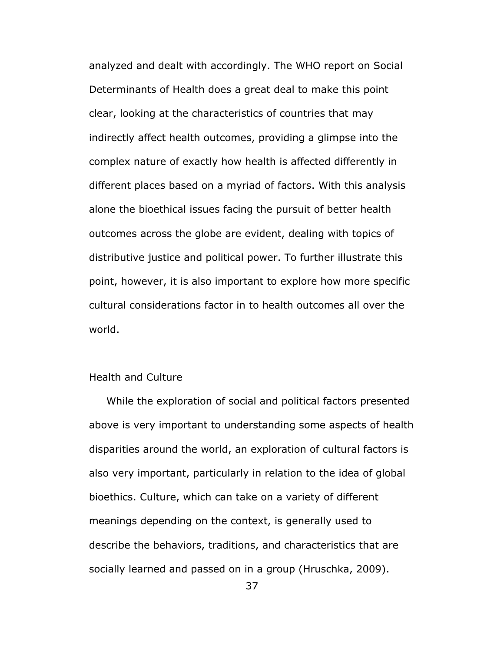analyzed and dealt with accordingly. The WHO report on Social Determinants of Health does a great deal to make this point clear, looking at the characteristics of countries that may indirectly affect health outcomes, providing a glimpse into the complex nature of exactly how health is affected differently in different places based on a myriad of factors. With this analysis alone the bioethical issues facing the pursuit of better health outcomes across the globe are evident, dealing with topics of distributive justice and political power. To further illustrate this point, however, it is also important to explore how more specific cultural considerations factor in to health outcomes all over the world.

# Health and Culture

 While the exploration of social and political factors presented above is very important to understanding some aspects of health disparities around the world, an exploration of cultural factors is also very important, particularly in relation to the idea of global bioethics. Culture, which can take on a variety of different meanings depending on the context, is generally used to describe the behaviors, traditions, and characteristics that are socially learned and passed on in a group (Hruschka, 2009).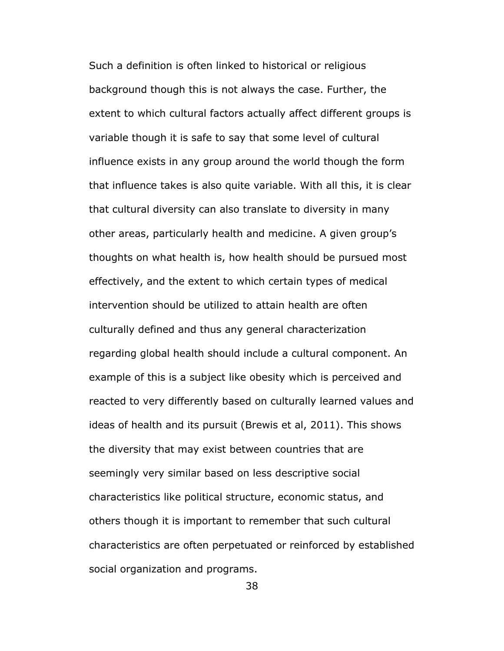Such a definition is often linked to historical or religious background though this is not always the case. Further, the extent to which cultural factors actually affect different groups is variable though it is safe to say that some level of cultural influence exists in any group around the world though the form that influence takes is also quite variable. With all this, it is clear that cultural diversity can also translate to diversity in many other areas, particularly health and medicine. A given group's thoughts on what health is, how health should be pursued most effectively, and the extent to which certain types of medical intervention should be utilized to attain health are often culturally defined and thus any general characterization regarding global health should include a cultural component. An example of this is a subject like obesity which is perceived and reacted to very differently based on culturally learned values and ideas of health and its pursuit (Brewis et al, 2011). This shows the diversity that may exist between countries that are seemingly very similar based on less descriptive social characteristics like political structure, economic status, and others though it is important to remember that such cultural characteristics are often perpetuated or reinforced by established social organization and programs.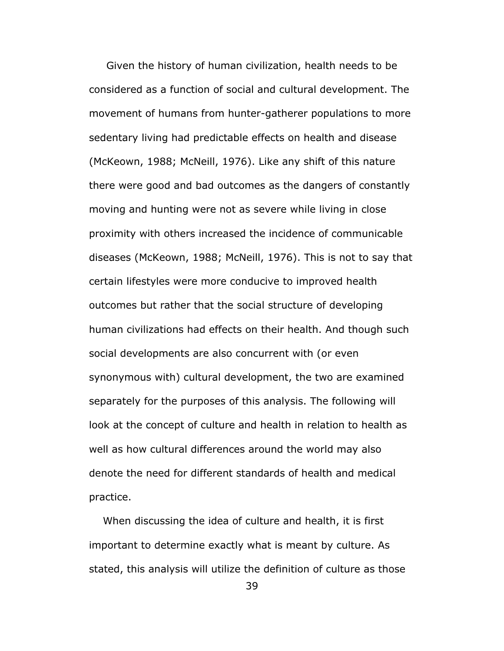Given the history of human civilization, health needs to be considered as a function of social and cultural development. The movement of humans from hunter-gatherer populations to more sedentary living had predictable effects on health and disease (McKeown, 1988; McNeill, 1976). Like any shift of this nature there were good and bad outcomes as the dangers of constantly moving and hunting were not as severe while living in close proximity with others increased the incidence of communicable diseases (McKeown, 1988; McNeill, 1976). This is not to say that certain lifestyles were more conducive to improved health outcomes but rather that the social structure of developing human civilizations had effects on their health. And though such social developments are also concurrent with (or even synonymous with) cultural development, the two are examined separately for the purposes of this analysis. The following will look at the concept of culture and health in relation to health as well as how cultural differences around the world may also denote the need for different standards of health and medical practice.

 When discussing the idea of culture and health, it is first important to determine exactly what is meant by culture. As stated, this analysis will utilize the definition of culture as those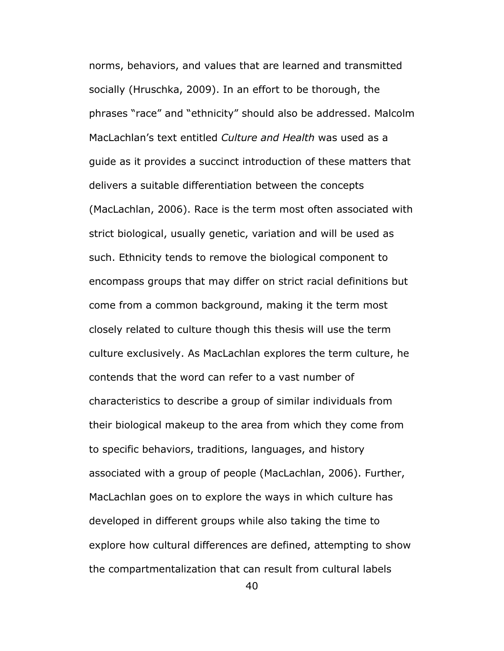norms, behaviors, and values that are learned and transmitted socially (Hruschka, 2009). In an effort to be thorough, the phrases "race" and "ethnicity" should also be addressed. Malcolm MacLachlan's text entitled *Culture and Health* was used as a guide as it provides a succinct introduction of these matters that delivers a suitable differentiation between the concepts (MacLachlan, 2006). Race is the term most often associated with strict biological, usually genetic, variation and will be used as such. Ethnicity tends to remove the biological component to encompass groups that may differ on strict racial definitions but come from a common background, making it the term most closely related to culture though this thesis will use the term culture exclusively. As MacLachlan explores the term culture, he contends that the word can refer to a vast number of characteristics to describe a group of similar individuals from their biological makeup to the area from which they come from to specific behaviors, traditions, languages, and history associated with a group of people (MacLachlan, 2006). Further, MacLachlan goes on to explore the ways in which culture has developed in different groups while also taking the time to explore how cultural differences are defined, attempting to show the compartmentalization that can result from cultural labels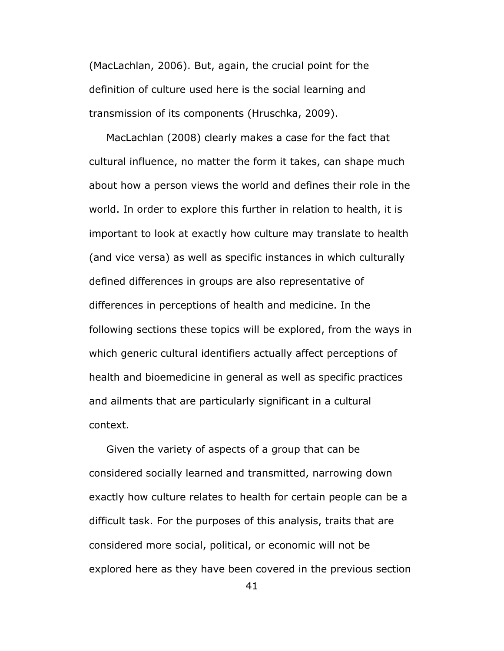(MacLachlan, 2006). But, again, the crucial point for the definition of culture used here is the social learning and transmission of its components (Hruschka, 2009).

 MacLachlan (2008) clearly makes a case for the fact that cultural influence, no matter the form it takes, can shape much about how a person views the world and defines their role in the world. In order to explore this further in relation to health, it is important to look at exactly how culture may translate to health (and vice versa) as well as specific instances in which culturally defined differences in groups are also representative of differences in perceptions of health and medicine. In the following sections these topics will be explored, from the ways in which generic cultural identifiers actually affect perceptions of health and bioemedicine in general as well as specific practices and ailments that are particularly significant in a cultural context.

 Given the variety of aspects of a group that can be considered socially learned and transmitted, narrowing down exactly how culture relates to health for certain people can be a difficult task. For the purposes of this analysis, traits that are considered more social, political, or economic will not be explored here as they have been covered in the previous section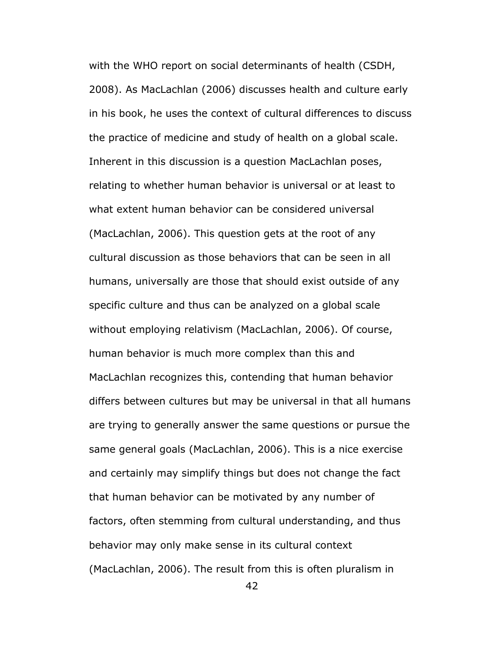with the WHO report on social determinants of health (CSDH, 2008). As MacLachlan (2006) discusses health and culture early in his book, he uses the context of cultural differences to discuss the practice of medicine and study of health on a global scale. Inherent in this discussion is a question MacLachlan poses, relating to whether human behavior is universal or at least to what extent human behavior can be considered universal (MacLachlan, 2006). This question gets at the root of any cultural discussion as those behaviors that can be seen in all humans, universally are those that should exist outside of any specific culture and thus can be analyzed on a global scale without employing relativism (MacLachlan, 2006). Of course, human behavior is much more complex than this and MacLachlan recognizes this, contending that human behavior differs between cultures but may be universal in that all humans are trying to generally answer the same questions or pursue the same general goals (MacLachlan, 2006). This is a nice exercise and certainly may simplify things but does not change the fact that human behavior can be motivated by any number of factors, often stemming from cultural understanding, and thus behavior may only make sense in its cultural context (MacLachlan, 2006). The result from this is often pluralism in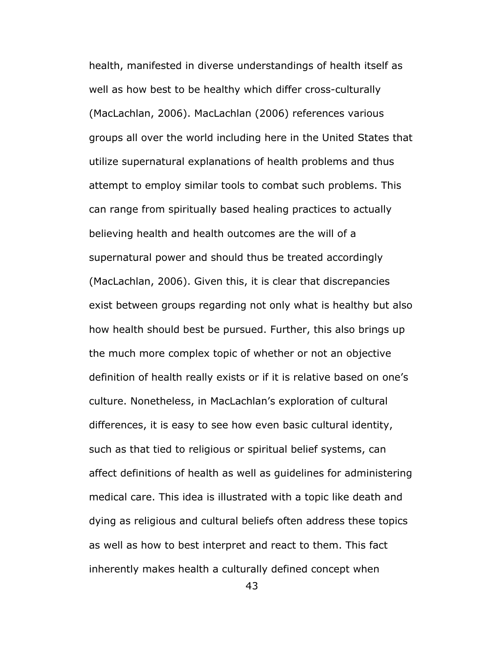health, manifested in diverse understandings of health itself as well as how best to be healthy which differ cross-culturally (MacLachlan, 2006). MacLachlan (2006) references various groups all over the world including here in the United States that utilize supernatural explanations of health problems and thus attempt to employ similar tools to combat such problems. This can range from spiritually based healing practices to actually believing health and health outcomes are the will of a supernatural power and should thus be treated accordingly (MacLachlan, 2006). Given this, it is clear that discrepancies exist between groups regarding not only what is healthy but also how health should best be pursued. Further, this also brings up the much more complex topic of whether or not an objective definition of health really exists or if it is relative based on one's culture. Nonetheless, in MacLachlan's exploration of cultural differences, it is easy to see how even basic cultural identity, such as that tied to religious or spiritual belief systems, can affect definitions of health as well as guidelines for administering medical care. This idea is illustrated with a topic like death and dying as religious and cultural beliefs often address these topics as well as how to best interpret and react to them. This fact inherently makes health a culturally defined concept when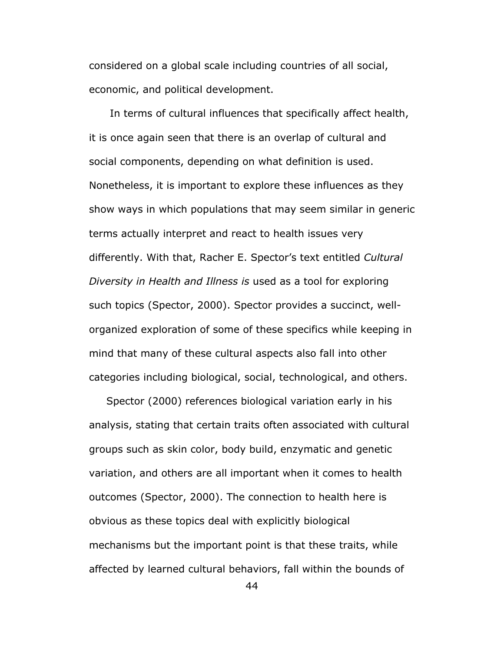considered on a global scale including countries of all social, economic, and political development.

 In terms of cultural influences that specifically affect health, it is once again seen that there is an overlap of cultural and social components, depending on what definition is used. Nonetheless, it is important to explore these influences as they show ways in which populations that may seem similar in generic terms actually interpret and react to health issues very differently. With that, Racher E. Spector's text entitled *Cultural Diversity in Health and Illness is* used as a tool for exploring such topics (Spector, 2000). Spector provides a succinct, wellorganized exploration of some of these specifics while keeping in mind that many of these cultural aspects also fall into other categories including biological, social, technological, and others.

 Spector (2000) references biological variation early in his analysis, stating that certain traits often associated with cultural groups such as skin color, body build, enzymatic and genetic variation, and others are all important when it comes to health outcomes (Spector, 2000). The connection to health here is obvious as these topics deal with explicitly biological mechanisms but the important point is that these traits, while affected by learned cultural behaviors, fall within the bounds of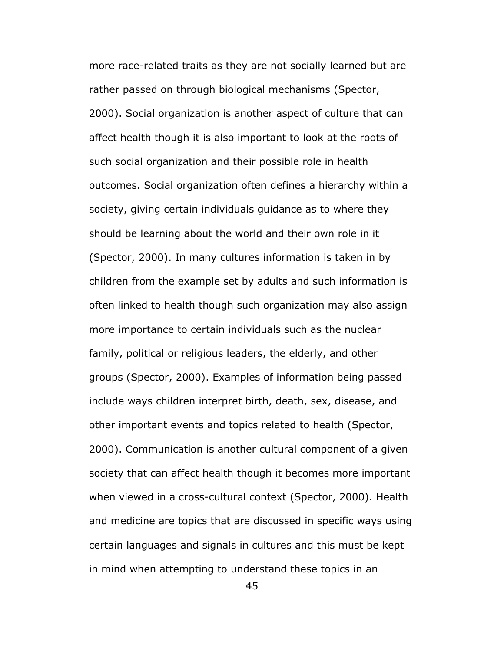more race-related traits as they are not socially learned but are rather passed on through biological mechanisms (Spector, 2000). Social organization is another aspect of culture that can affect health though it is also important to look at the roots of such social organization and their possible role in health outcomes. Social organization often defines a hierarchy within a society, giving certain individuals guidance as to where they should be learning about the world and their own role in it (Spector, 2000). In many cultures information is taken in by children from the example set by adults and such information is often linked to health though such organization may also assign more importance to certain individuals such as the nuclear family, political or religious leaders, the elderly, and other groups (Spector, 2000). Examples of information being passed include ways children interpret birth, death, sex, disease, and other important events and topics related to health (Spector, 2000). Communication is another cultural component of a given society that can affect health though it becomes more important when viewed in a cross-cultural context (Spector, 2000). Health and medicine are topics that are discussed in specific ways using certain languages and signals in cultures and this must be kept in mind when attempting to understand these topics in an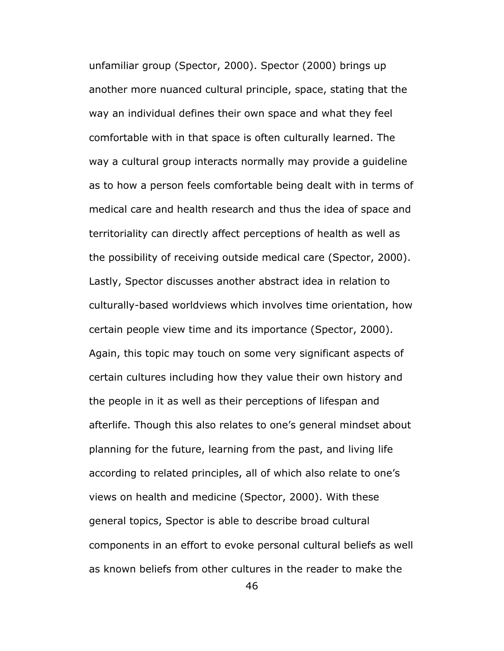unfamiliar group (Spector, 2000). Spector (2000) brings up another more nuanced cultural principle, space, stating that the way an individual defines their own space and what they feel comfortable with in that space is often culturally learned. The way a cultural group interacts normally may provide a guideline as to how a person feels comfortable being dealt with in terms of medical care and health research and thus the idea of space and territoriality can directly affect perceptions of health as well as the possibility of receiving outside medical care (Spector, 2000). Lastly, Spector discusses another abstract idea in relation to culturally-based worldviews which involves time orientation, how certain people view time and its importance (Spector, 2000). Again, this topic may touch on some very significant aspects of certain cultures including how they value their own history and the people in it as well as their perceptions of lifespan and afterlife. Though this also relates to one's general mindset about planning for the future, learning from the past, and living life according to related principles, all of which also relate to one's views on health and medicine (Spector, 2000). With these general topics, Spector is able to describe broad cultural components in an effort to evoke personal cultural beliefs as well as known beliefs from other cultures in the reader to make the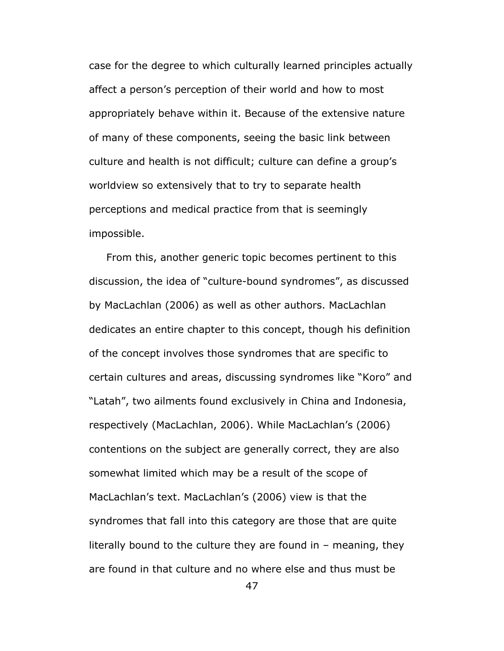case for the degree to which culturally learned principles actually affect a person's perception of their world and how to most appropriately behave within it. Because of the extensive nature of many of these components, seeing the basic link between culture and health is not difficult; culture can define a group's worldview so extensively that to try to separate health perceptions and medical practice from that is seemingly impossible.

 From this, another generic topic becomes pertinent to this discussion, the idea of "culture-bound syndromes", as discussed by MacLachlan (2006) as well as other authors. MacLachlan dedicates an entire chapter to this concept, though his definition of the concept involves those syndromes that are specific to certain cultures and areas, discussing syndromes like "Koro" and "Latah", two ailments found exclusively in China and Indonesia, respectively (MacLachlan, 2006). While MacLachlan's (2006) contentions on the subject are generally correct, they are also somewhat limited which may be a result of the scope of MacLachlan's text. MacLachlan's (2006) view is that the syndromes that fall into this category are those that are quite literally bound to the culture they are found in – meaning, they are found in that culture and no where else and thus must be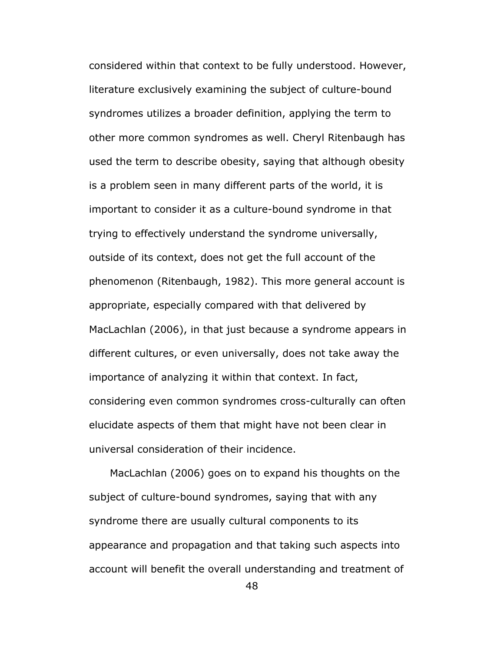considered within that context to be fully understood. However, literature exclusively examining the subject of culture-bound syndromes utilizes a broader definition, applying the term to other more common syndromes as well. Cheryl Ritenbaugh has used the term to describe obesity, saying that although obesity is a problem seen in many different parts of the world, it is important to consider it as a culture-bound syndrome in that trying to effectively understand the syndrome universally, outside of its context, does not get the full account of the phenomenon (Ritenbaugh, 1982). This more general account is appropriate, especially compared with that delivered by MacLachlan (2006), in that just because a syndrome appears in different cultures, or even universally, does not take away the importance of analyzing it within that context. In fact, considering even common syndromes cross-culturally can often elucidate aspects of them that might have not been clear in universal consideration of their incidence.

 MacLachlan (2006) goes on to expand his thoughts on the subject of culture-bound syndromes, saying that with any syndrome there are usually cultural components to its appearance and propagation and that taking such aspects into account will benefit the overall understanding and treatment of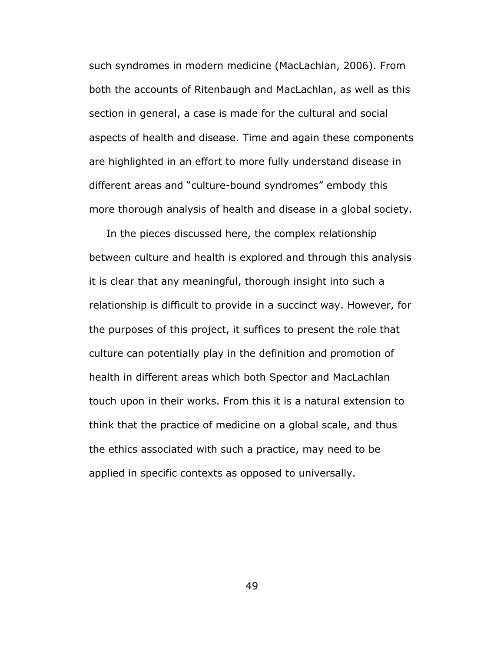such syndromes in modern medicine (MacLachlan, 2006). From both the accounts of Ritenbaugh and MacLachlan, as well as this section in general, a case is made for the cultural and social aspects of health and disease. Time and again these components are highlighted in an effort to more fully understand disease in different areas and "culture-bound syndromes" embody this more thorough analysis of health and disease in a global society.

 In the pieces discussed here, the complex relationship between culture and health is explored and through this analysis it is clear that any meaningful, thorough insight into such a relationship is difficult to provide in a succinct way. However, for the purposes of this project, it suffices to present the role that culture can potentially play in the definition and promotion of health in different areas which both Spector and MacLachlan touch upon in their works. From this it is a natural extension to think that the practice of medicine on a global scale, and thus the ethics associated with such a practice, may need to be applied in specific contexts as opposed to universally.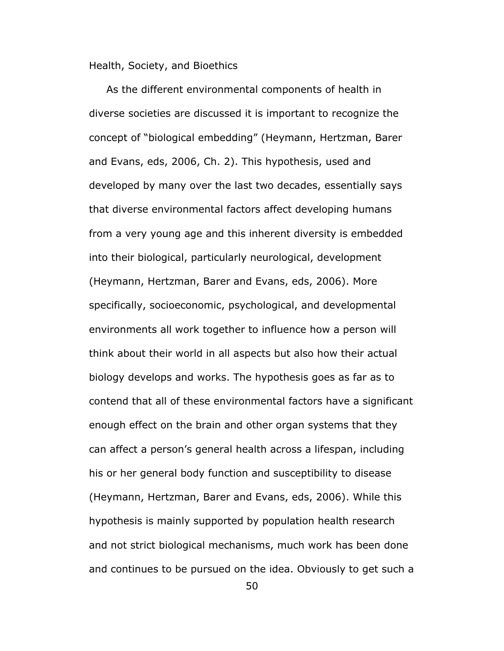Health, Society, and Bioethics

 As the different environmental components of health in diverse societies are discussed it is important to recognize the concept of "biological embedding" (Heymann, Hertzman, Barer and Evans, eds, 2006, Ch. 2). This hypothesis, used and developed by many over the last two decades, essentially says that diverse environmental factors affect developing humans from a very young age and this inherent diversity is embedded into their biological, particularly neurological, development (Heymann, Hertzman, Barer and Evans, eds, 2006). More specifically, socioeconomic, psychological, and developmental environments all work together to influence how a person will think about their world in all aspects but also how their actual biology develops and works. The hypothesis goes as far as to contend that all of these environmental factors have a significant enough effect on the brain and other organ systems that they can affect a person's general health across a lifespan, including his or her general body function and susceptibility to disease (Heymann, Hertzman, Barer and Evans, eds, 2006). While this hypothesis is mainly supported by population health research and not strict biological mechanisms, much work has been done and continues to be pursued on the idea. Obviously to get such a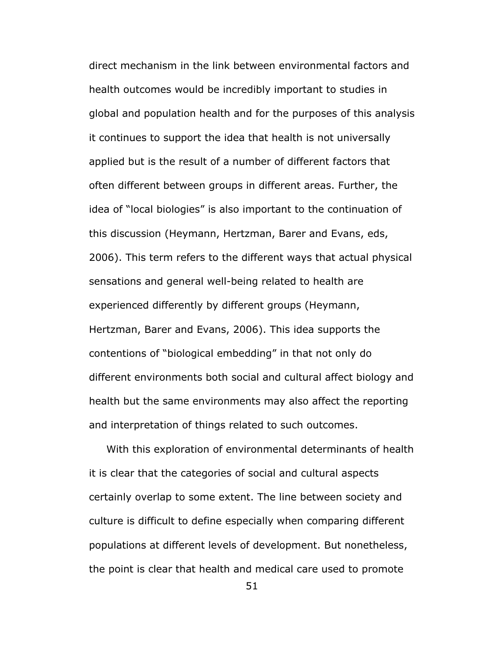direct mechanism in the link between environmental factors and health outcomes would be incredibly important to studies in global and population health and for the purposes of this analysis it continues to support the idea that health is not universally applied but is the result of a number of different factors that often different between groups in different areas. Further, the idea of "local biologies" is also important to the continuation of this discussion (Heymann, Hertzman, Barer and Evans, eds, 2006). This term refers to the different ways that actual physical sensations and general well-being related to health are experienced differently by different groups (Heymann, Hertzman, Barer and Evans, 2006). This idea supports the contentions of "biological embedding" in that not only do different environments both social and cultural affect biology and health but the same environments may also affect the reporting and interpretation of things related to such outcomes.

 With this exploration of environmental determinants of health it is clear that the categories of social and cultural aspects certainly overlap to some extent. The line between society and culture is difficult to define especially when comparing different populations at different levels of development. But nonetheless, the point is clear that health and medical care used to promote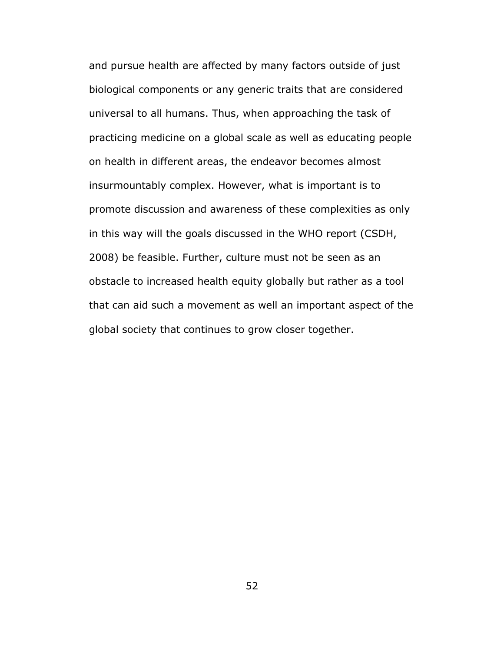and pursue health are affected by many factors outside of just biological components or any generic traits that are considered universal to all humans. Thus, when approaching the task of practicing medicine on a global scale as well as educating people on health in different areas, the endeavor becomes almost insurmountably complex. However, what is important is to promote discussion and awareness of these complexities as only in this way will the goals discussed in the WHO report (CSDH, 2008) be feasible. Further, culture must not be seen as an obstacle to increased health equity globally but rather as a tool that can aid such a movement as well an important aspect of the global society that continues to grow closer together.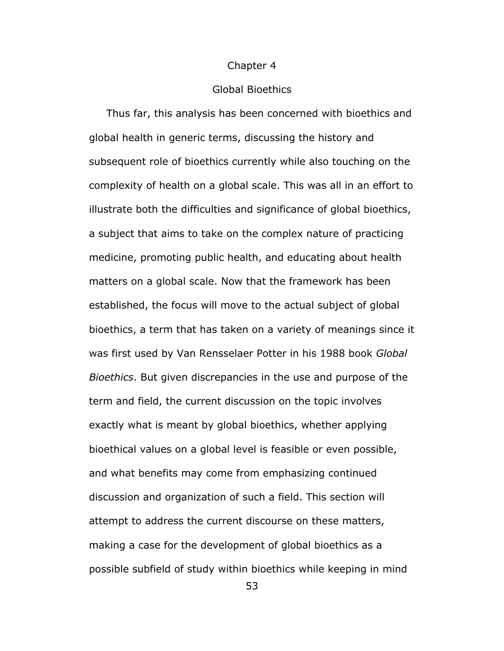#### Chapter 4

### Global Bioethics

 Thus far, this analysis has been concerned with bioethics and global health in generic terms, discussing the history and subsequent role of bioethics currently while also touching on the complexity of health on a global scale. This was all in an effort to illustrate both the difficulties and significance of global bioethics, a subject that aims to take on the complex nature of practicing medicine, promoting public health, and educating about health matters on a global scale. Now that the framework has been established, the focus will move to the actual subject of global bioethics, a term that has taken on a variety of meanings since it was first used by Van Rensselaer Potter in his 1988 book *Global Bioethics*. But given discrepancies in the use and purpose of the term and field, the current discussion on the topic involves exactly what is meant by global bioethics, whether applying bioethical values on a global level is feasible or even possible, and what benefits may come from emphasizing continued discussion and organization of such a field. This section will attempt to address the current discourse on these matters, making a case for the development of global bioethics as a possible subfield of study within bioethics while keeping in mind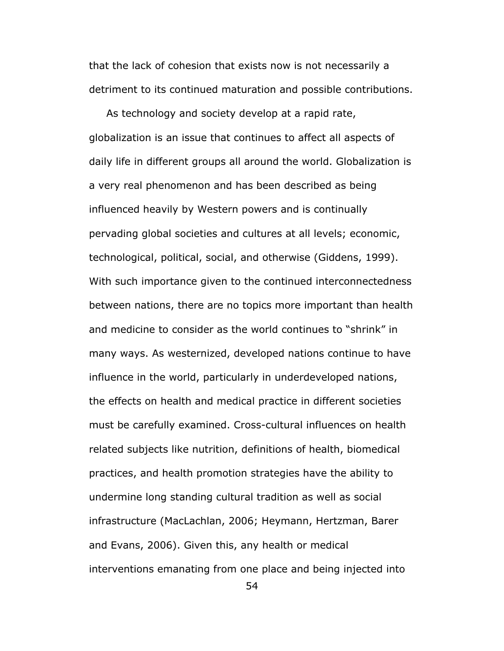that the lack of cohesion that exists now is not necessarily a detriment to its continued maturation and possible contributions.

 As technology and society develop at a rapid rate, globalization is an issue that continues to affect all aspects of daily life in different groups all around the world. Globalization is a very real phenomenon and has been described as being influenced heavily by Western powers and is continually pervading global societies and cultures at all levels; economic, technological, political, social, and otherwise (Giddens, 1999). With such importance given to the continued interconnectedness between nations, there are no topics more important than health and medicine to consider as the world continues to "shrink" in many ways. As westernized, developed nations continue to have influence in the world, particularly in underdeveloped nations, the effects on health and medical practice in different societies must be carefully examined. Cross-cultural influences on health related subjects like nutrition, definitions of health, biomedical practices, and health promotion strategies have the ability to undermine long standing cultural tradition as well as social infrastructure (MacLachlan, 2006; Heymann, Hertzman, Barer and Evans, 2006). Given this, any health or medical interventions emanating from one place and being injected into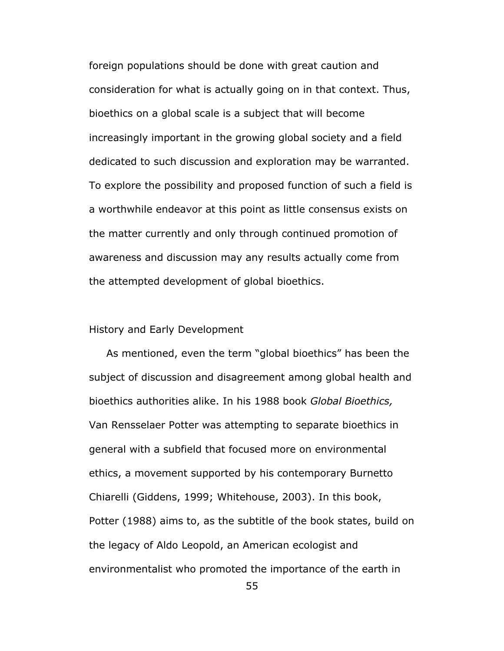foreign populations should be done with great caution and consideration for what is actually going on in that context. Thus, bioethics on a global scale is a subject that will become increasingly important in the growing global society and a field dedicated to such discussion and exploration may be warranted. To explore the possibility and proposed function of such a field is a worthwhile endeavor at this point as little consensus exists on the matter currently and only through continued promotion of awareness and discussion may any results actually come from the attempted development of global bioethics.

## History and Early Development

 As mentioned, even the term "global bioethics" has been the subject of discussion and disagreement among global health and bioethics authorities alike. In his 1988 book *Global Bioethics,*  Van Rensselaer Potter was attempting to separate bioethics in general with a subfield that focused more on environmental ethics, a movement supported by his contemporary Burnetto Chiarelli (Giddens, 1999; Whitehouse, 2003). In this book, Potter (1988) aims to, as the subtitle of the book states, build on the legacy of Aldo Leopold, an American ecologist and environmentalist who promoted the importance of the earth in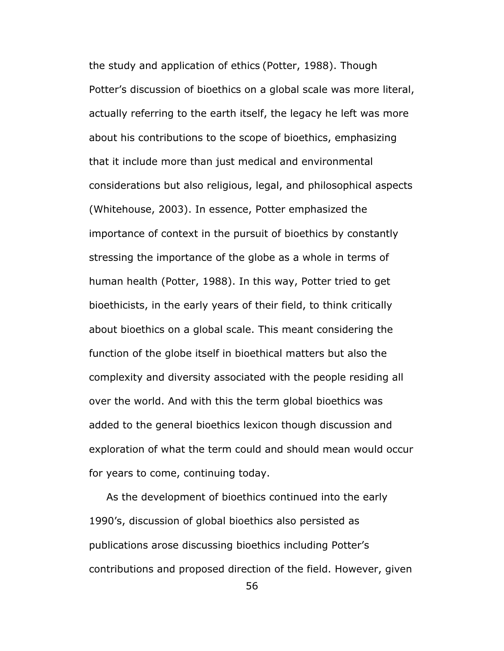the study and application of ethics (Potter, 1988). Though Potter's discussion of bioethics on a global scale was more literal, actually referring to the earth itself, the legacy he left was more about his contributions to the scope of bioethics, emphasizing that it include more than just medical and environmental considerations but also religious, legal, and philosophical aspects (Whitehouse, 2003). In essence, Potter emphasized the importance of context in the pursuit of bioethics by constantly stressing the importance of the globe as a whole in terms of human health (Potter, 1988). In this way, Potter tried to get bioethicists, in the early years of their field, to think critically about bioethics on a global scale. This meant considering the function of the globe itself in bioethical matters but also the complexity and diversity associated with the people residing all over the world. And with this the term global bioethics was added to the general bioethics lexicon though discussion and exploration of what the term could and should mean would occur for years to come, continuing today.

 As the development of bioethics continued into the early 1990's, discussion of global bioethics also persisted as publications arose discussing bioethics including Potter's contributions and proposed direction of the field. However, given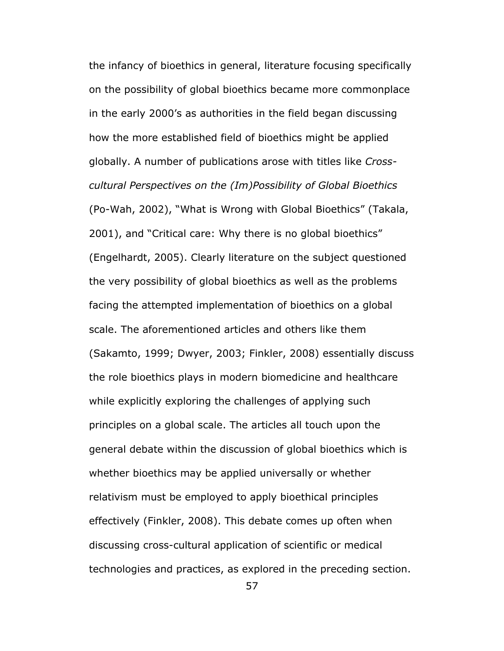the infancy of bioethics in general, literature focusing specifically on the possibility of global bioethics became more commonplace in the early 2000's as authorities in the field began discussing how the more established field of bioethics might be applied globally. A number of publications arose with titles like *Crosscultural Perspectives on the (Im)Possibility of Global Bioethics* (Po-Wah, 2002), "What is Wrong with Global Bioethics" (Takala, 2001), and "Critical care: Why there is no global bioethics" (Engelhardt, 2005). Clearly literature on the subject questioned the very possibility of global bioethics as well as the problems facing the attempted implementation of bioethics on a global scale. The aforementioned articles and others like them (Sakamto, 1999; Dwyer, 2003; Finkler, 2008) essentially discuss the role bioethics plays in modern biomedicine and healthcare while explicitly exploring the challenges of applying such principles on a global scale. The articles all touch upon the general debate within the discussion of global bioethics which is whether bioethics may be applied universally or whether relativism must be employed to apply bioethical principles effectively (Finkler, 2008). This debate comes up often when discussing cross-cultural application of scientific or medical technologies and practices, as explored in the preceding section.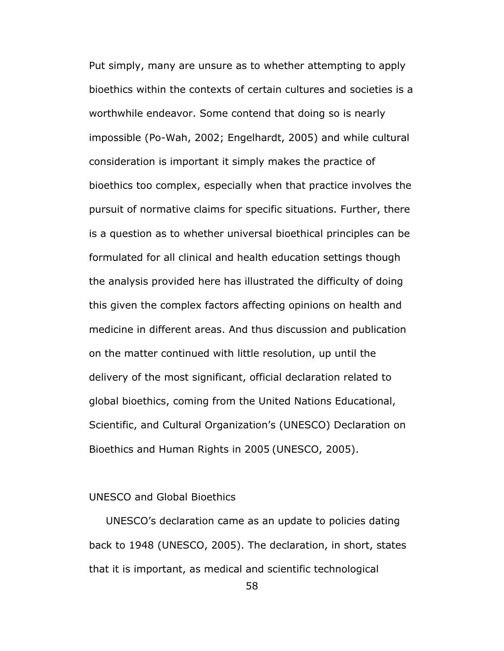Put simply, many are unsure as to whether attempting to apply bioethics within the contexts of certain cultures and societies is a worthwhile endeavor. Some contend that doing so is nearly impossible (Po-Wah, 2002; Engelhardt, 2005) and while cultural consideration is important it simply makes the practice of bioethics too complex, especially when that practice involves the pursuit of normative claims for specific situations. Further, there is a question as to whether universal bioethical principles can be formulated for all clinical and health education settings though the analysis provided here has illustrated the difficulty of doing this given the complex factors affecting opinions on health and medicine in different areas. And thus discussion and publication on the matter continued with little resolution, up until the delivery of the most significant, official declaration related to global bioethics, coming from the United Nations Educational, Scientific, and Cultural Organization's (UNESCO) Declaration on Bioethics and Human Rights in 2005 (UNESCO, 2005).

# UNESCO and Global Bioethics

UNESCO's declaration came as an update to policies dating back to 1948 (UNESCO, 2005). The declaration, in short, states that it is important, as medical and scientific technological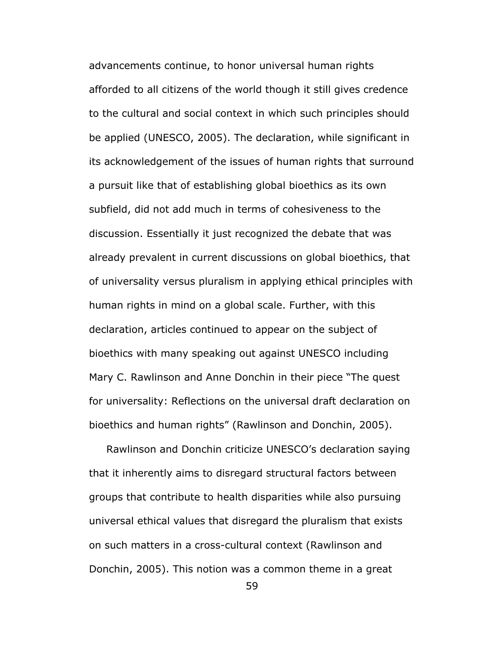advancements continue, to honor universal human rights afforded to all citizens of the world though it still gives credence to the cultural and social context in which such principles should be applied (UNESCO, 2005). The declaration, while significant in its acknowledgement of the issues of human rights that surround a pursuit like that of establishing global bioethics as its own subfield, did not add much in terms of cohesiveness to the discussion. Essentially it just recognized the debate that was already prevalent in current discussions on global bioethics, that of universality versus pluralism in applying ethical principles with human rights in mind on a global scale. Further, with this declaration, articles continued to appear on the subject of bioethics with many speaking out against UNESCO including Mary C. Rawlinson and Anne Donchin in their piece "The quest for universality: Reflections on the universal draft declaration on bioethics and human rights" (Rawlinson and Donchin, 2005).

 Rawlinson and Donchin criticize UNESCO's declaration saying that it inherently aims to disregard structural factors between groups that contribute to health disparities while also pursuing universal ethical values that disregard the pluralism that exists on such matters in a cross-cultural context (Rawlinson and Donchin, 2005). This notion was a common theme in a great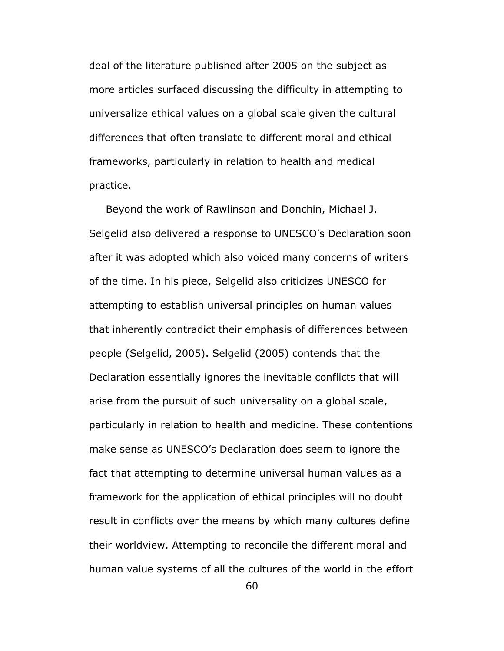deal of the literature published after 2005 on the subject as more articles surfaced discussing the difficulty in attempting to universalize ethical values on a global scale given the cultural differences that often translate to different moral and ethical frameworks, particularly in relation to health and medical practice.

Beyond the work of Rawlinson and Donchin, Michael J. Selgelid also delivered a response to UNESCO's Declaration soon after it was adopted which also voiced many concerns of writers of the time. In his piece, Selgelid also criticizes UNESCO for attempting to establish universal principles on human values that inherently contradict their emphasis of differences between people (Selgelid, 2005). Selgelid (2005) contends that the Declaration essentially ignores the inevitable conflicts that will arise from the pursuit of such universality on a global scale, particularly in relation to health and medicine. These contentions make sense as UNESCO's Declaration does seem to ignore the fact that attempting to determine universal human values as a framework for the application of ethical principles will no doubt result in conflicts over the means by which many cultures define their worldview. Attempting to reconcile the different moral and human value systems of all the cultures of the world in the effort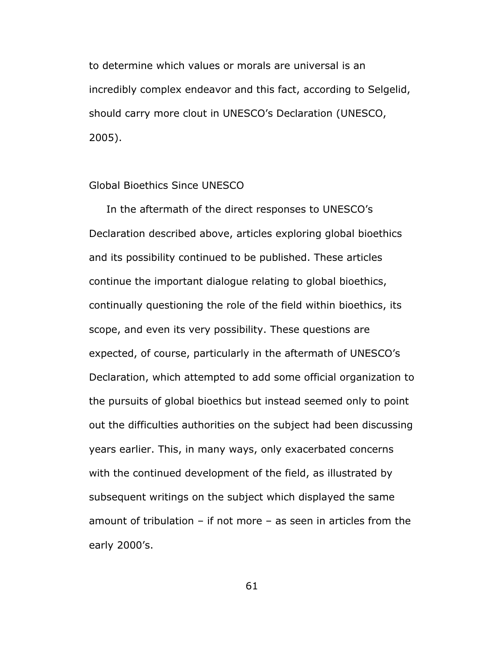to determine which values or morals are universal is an incredibly complex endeavor and this fact, according to Selgelid, should carry more clout in UNESCO's Declaration (UNESCO, 2005).

# Global Bioethics Since UNESCO

 In the aftermath of the direct responses to UNESCO's Declaration described above, articles exploring global bioethics and its possibility continued to be published. These articles continue the important dialogue relating to global bioethics, continually questioning the role of the field within bioethics, its scope, and even its very possibility. These questions are expected, of course, particularly in the aftermath of UNESCO's Declaration, which attempted to add some official organization to the pursuits of global bioethics but instead seemed only to point out the difficulties authorities on the subject had been discussing years earlier. This, in many ways, only exacerbated concerns with the continued development of the field, as illustrated by subsequent writings on the subject which displayed the same amount of tribulation – if not more – as seen in articles from the early 2000's.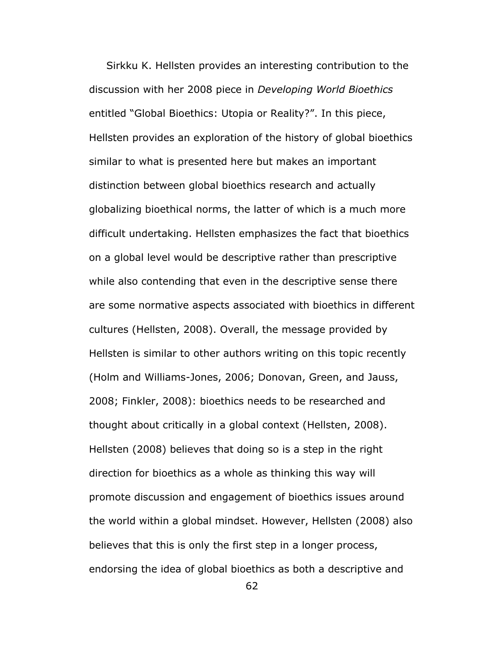Sirkku K. Hellsten provides an interesting contribution to the discussion with her 2008 piece in *Developing World Bioethics*  entitled "Global Bioethics: Utopia or Reality?". In this piece, Hellsten provides an exploration of the history of global bioethics similar to what is presented here but makes an important distinction between global bioethics research and actually globalizing bioethical norms, the latter of which is a much more difficult undertaking. Hellsten emphasizes the fact that bioethics on a global level would be descriptive rather than prescriptive while also contending that even in the descriptive sense there are some normative aspects associated with bioethics in different cultures (Hellsten, 2008). Overall, the message provided by Hellsten is similar to other authors writing on this topic recently (Holm and Williams-Jones, 2006; Donovan, Green, and Jauss, 2008; Finkler, 2008): bioethics needs to be researched and thought about critically in a global context (Hellsten, 2008). Hellsten (2008) believes that doing so is a step in the right direction for bioethics as a whole as thinking this way will promote discussion and engagement of bioethics issues around the world within a global mindset. However, Hellsten (2008) also believes that this is only the first step in a longer process, endorsing the idea of global bioethics as both a descriptive and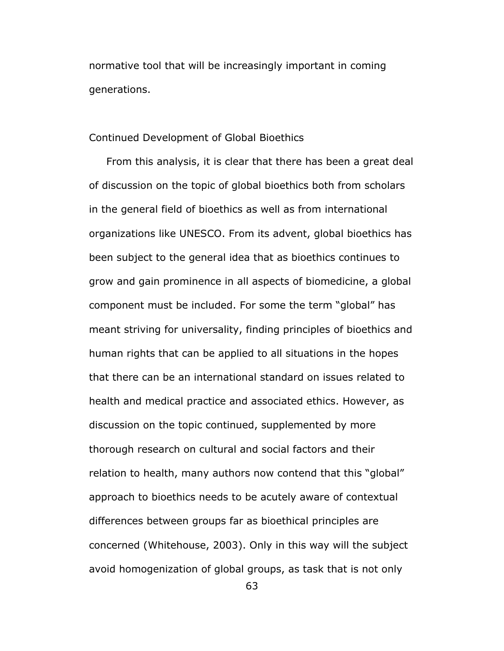normative tool that will be increasingly important in coming generations.

### Continued Development of Global Bioethics

 From this analysis, it is clear that there has been a great deal of discussion on the topic of global bioethics both from scholars in the general field of bioethics as well as from international organizations like UNESCO. From its advent, global bioethics has been subject to the general idea that as bioethics continues to grow and gain prominence in all aspects of biomedicine, a global component must be included. For some the term "global" has meant striving for universality, finding principles of bioethics and human rights that can be applied to all situations in the hopes that there can be an international standard on issues related to health and medical practice and associated ethics. However, as discussion on the topic continued, supplemented by more thorough research on cultural and social factors and their relation to health, many authors now contend that this "global" approach to bioethics needs to be acutely aware of contextual differences between groups far as bioethical principles are concerned (Whitehouse, 2003). Only in this way will the subject avoid homogenization of global groups, as task that is not only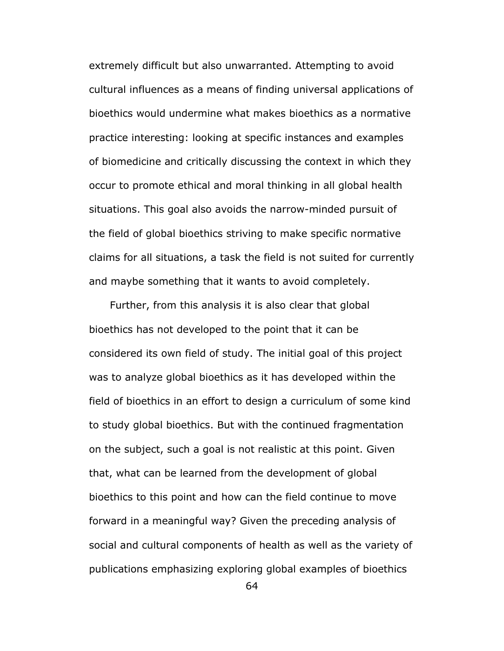extremely difficult but also unwarranted. Attempting to avoid cultural influences as a means of finding universal applications of bioethics would undermine what makes bioethics as a normative practice interesting: looking at specific instances and examples of biomedicine and critically discussing the context in which they occur to promote ethical and moral thinking in all global health situations. This goal also avoids the narrow-minded pursuit of the field of global bioethics striving to make specific normative claims for all situations, a task the field is not suited for currently and maybe something that it wants to avoid completely.

 Further, from this analysis it is also clear that global bioethics has not developed to the point that it can be considered its own field of study. The initial goal of this project was to analyze global bioethics as it has developed within the field of bioethics in an effort to design a curriculum of some kind to study global bioethics. But with the continued fragmentation on the subject, such a goal is not realistic at this point. Given that, what can be learned from the development of global bioethics to this point and how can the field continue to move forward in a meaningful way? Given the preceding analysis of social and cultural components of health as well as the variety of publications emphasizing exploring global examples of bioethics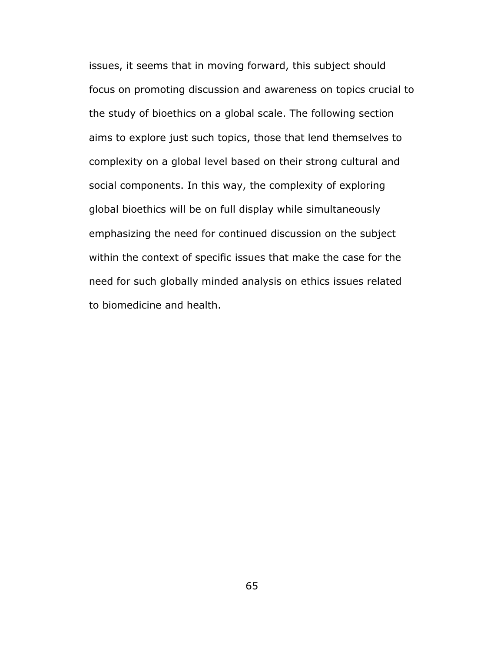issues, it seems that in moving forward, this subject should focus on promoting discussion and awareness on topics crucial to the study of bioethics on a global scale. The following section aims to explore just such topics, those that lend themselves to complexity on a global level based on their strong cultural and social components. In this way, the complexity of exploring global bioethics will be on full display while simultaneously emphasizing the need for continued discussion on the subject within the context of specific issues that make the case for the need for such globally minded analysis on ethics issues related to biomedicine and health.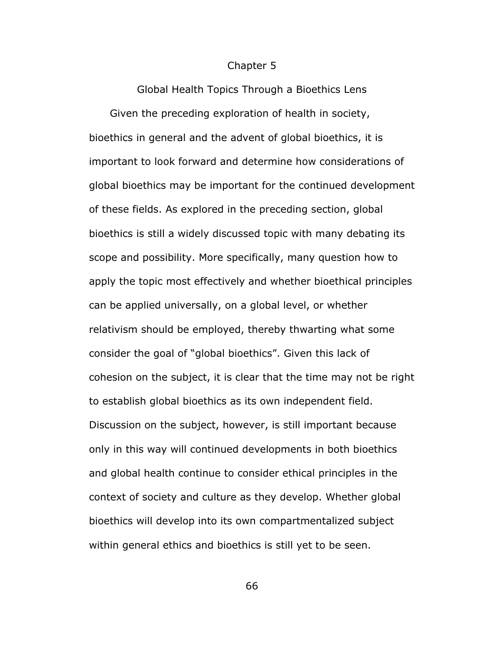#### Chapter 5

Global Health Topics Through a Bioethics Lens Given the preceding exploration of health in society, bioethics in general and the advent of global bioethics, it is important to look forward and determine how considerations of global bioethics may be important for the continued development of these fields. As explored in the preceding section, global bioethics is still a widely discussed topic with many debating its scope and possibility. More specifically, many question how to apply the topic most effectively and whether bioethical principles can be applied universally, on a global level, or whether relativism should be employed, thereby thwarting what some consider the goal of "global bioethics". Given this lack of cohesion on the subject, it is clear that the time may not be right to establish global bioethics as its own independent field. Discussion on the subject, however, is still important because only in this way will continued developments in both bioethics and global health continue to consider ethical principles in the context of society and culture as they develop. Whether global bioethics will develop into its own compartmentalized subject within general ethics and bioethics is still yet to be seen.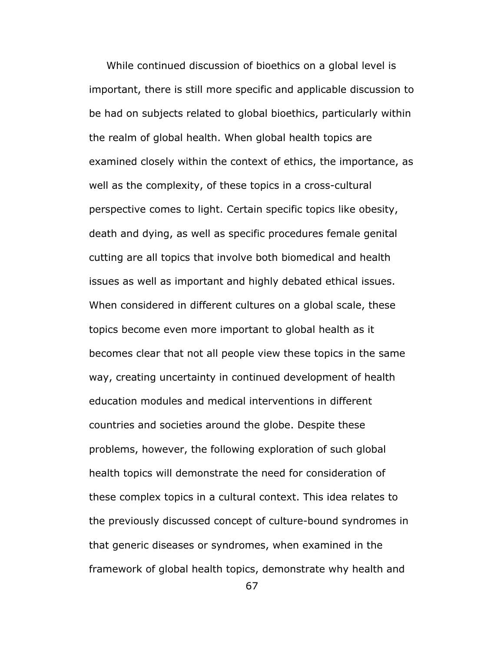While continued discussion of bioethics on a global level is important, there is still more specific and applicable discussion to be had on subjects related to global bioethics, particularly within the realm of global health. When global health topics are examined closely within the context of ethics, the importance, as well as the complexity, of these topics in a cross-cultural perspective comes to light. Certain specific topics like obesity, death and dying, as well as specific procedures female genital cutting are all topics that involve both biomedical and health issues as well as important and highly debated ethical issues. When considered in different cultures on a global scale, these topics become even more important to global health as it becomes clear that not all people view these topics in the same way, creating uncertainty in continued development of health education modules and medical interventions in different countries and societies around the globe. Despite these problems, however, the following exploration of such global health topics will demonstrate the need for consideration of these complex topics in a cultural context. This idea relates to the previously discussed concept of culture-bound syndromes in that generic diseases or syndromes, when examined in the framework of global health topics, demonstrate why health and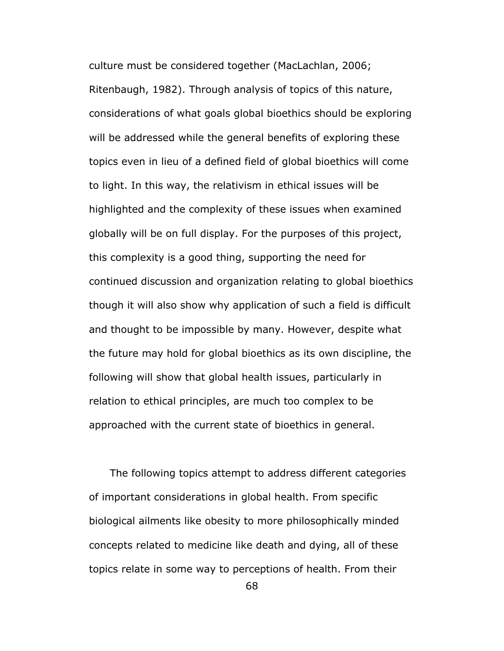culture must be considered together (MacLachlan, 2006; Ritenbaugh, 1982). Through analysis of topics of this nature, considerations of what goals global bioethics should be exploring will be addressed while the general benefits of exploring these topics even in lieu of a defined field of global bioethics will come to light. In this way, the relativism in ethical issues will be highlighted and the complexity of these issues when examined globally will be on full display. For the purposes of this project, this complexity is a good thing, supporting the need for continued discussion and organization relating to global bioethics though it will also show why application of such a field is difficult and thought to be impossible by many. However, despite what the future may hold for global bioethics as its own discipline, the following will show that global health issues, particularly in relation to ethical principles, are much too complex to be approached with the current state of bioethics in general.

 The following topics attempt to address different categories of important considerations in global health. From specific biological ailments like obesity to more philosophically minded concepts related to medicine like death and dying, all of these topics relate in some way to perceptions of health. From their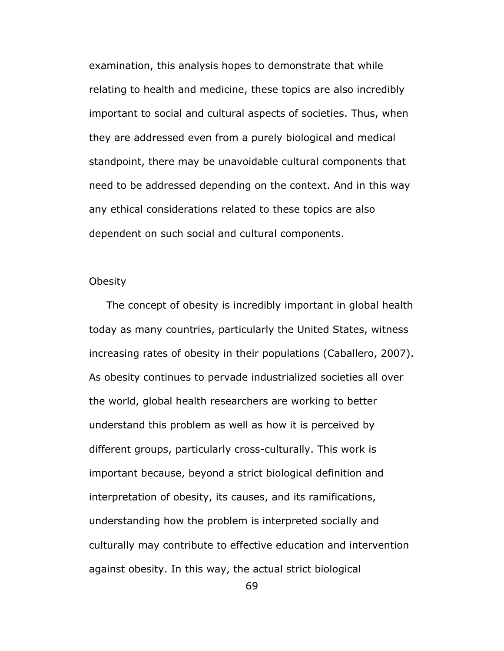examination, this analysis hopes to demonstrate that while relating to health and medicine, these topics are also incredibly important to social and cultural aspects of societies. Thus, when they are addressed even from a purely biological and medical standpoint, there may be unavoidable cultural components that need to be addressed depending on the context. And in this way any ethical considerations related to these topics are also dependent on such social and cultural components.

# **Obesity**

 The concept of obesity is incredibly important in global health today as many countries, particularly the United States, witness increasing rates of obesity in their populations (Caballero, 2007). As obesity continues to pervade industrialized societies all over the world, global health researchers are working to better understand this problem as well as how it is perceived by different groups, particularly cross-culturally. This work is important because, beyond a strict biological definition and interpretation of obesity, its causes, and its ramifications, understanding how the problem is interpreted socially and culturally may contribute to effective education and intervention against obesity. In this way, the actual strict biological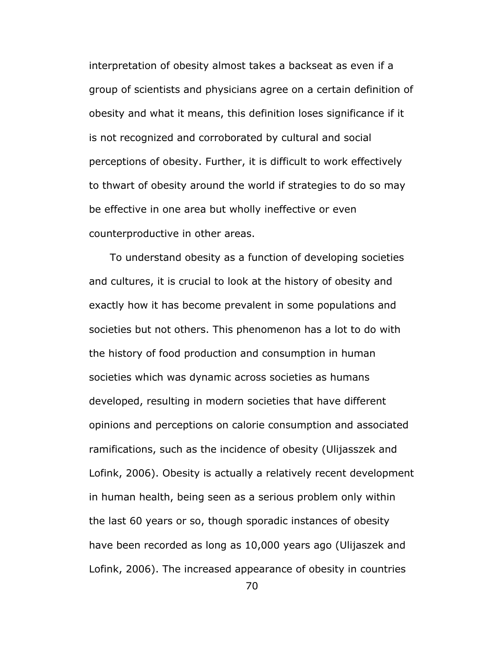interpretation of obesity almost takes a backseat as even if a group of scientists and physicians agree on a certain definition of obesity and what it means, this definition loses significance if it is not recognized and corroborated by cultural and social perceptions of obesity. Further, it is difficult to work effectively to thwart of obesity around the world if strategies to do so may be effective in one area but wholly ineffective or even counterproductive in other areas.

 To understand obesity as a function of developing societies and cultures, it is crucial to look at the history of obesity and exactly how it has become prevalent in some populations and societies but not others. This phenomenon has a lot to do with the history of food production and consumption in human societies which was dynamic across societies as humans developed, resulting in modern societies that have different opinions and perceptions on calorie consumption and associated ramifications, such as the incidence of obesity (Ulijasszek and Lofink, 2006). Obesity is actually a relatively recent development in human health, being seen as a serious problem only within the last 60 years or so, though sporadic instances of obesity have been recorded as long as 10,000 years ago (Ulijaszek and Lofink, 2006). The increased appearance of obesity in countries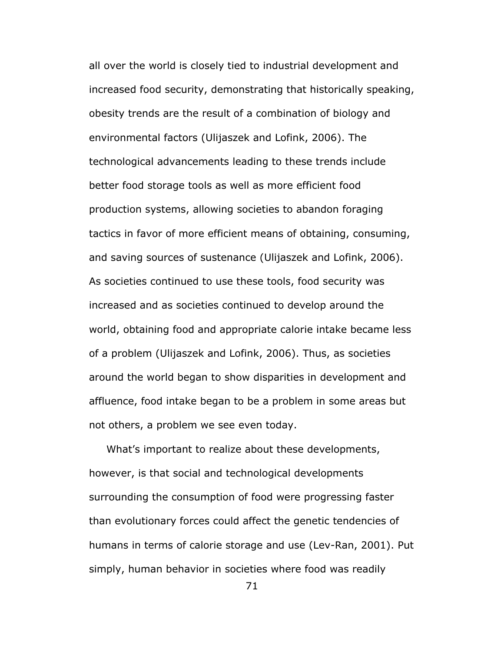all over the world is closely tied to industrial development and increased food security, demonstrating that historically speaking, obesity trends are the result of a combination of biology and environmental factors (Ulijaszek and Lofink, 2006). The technological advancements leading to these trends include better food storage tools as well as more efficient food production systems, allowing societies to abandon foraging tactics in favor of more efficient means of obtaining, consuming, and saving sources of sustenance (Ulijaszek and Lofink, 2006). As societies continued to use these tools, food security was increased and as societies continued to develop around the world, obtaining food and appropriate calorie intake became less of a problem (Ulijaszek and Lofink, 2006). Thus, as societies around the world began to show disparities in development and affluence, food intake began to be a problem in some areas but not others, a problem we see even today.

 What's important to realize about these developments, however, is that social and technological developments surrounding the consumption of food were progressing faster than evolutionary forces could affect the genetic tendencies of humans in terms of calorie storage and use (Lev-Ran, 2001). Put simply, human behavior in societies where food was readily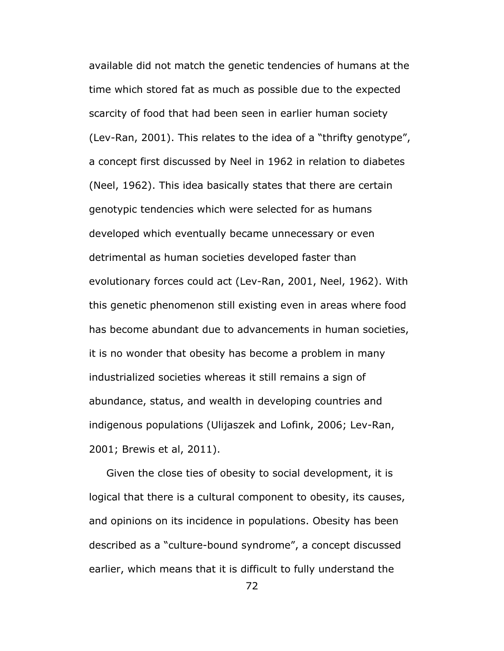available did not match the genetic tendencies of humans at the time which stored fat as much as possible due to the expected scarcity of food that had been seen in earlier human society (Lev-Ran, 2001). This relates to the idea of a "thrifty genotype", a concept first discussed by Neel in 1962 in relation to diabetes (Neel, 1962). This idea basically states that there are certain genotypic tendencies which were selected for as humans developed which eventually became unnecessary or even detrimental as human societies developed faster than evolutionary forces could act (Lev-Ran, 2001, Neel, 1962). With this genetic phenomenon still existing even in areas where food has become abundant due to advancements in human societies, it is no wonder that obesity has become a problem in many industrialized societies whereas it still remains a sign of abundance, status, and wealth in developing countries and indigenous populations (Ulijaszek and Lofink, 2006; Lev-Ran, 2001; Brewis et al, 2011).

 Given the close ties of obesity to social development, it is logical that there is a cultural component to obesity, its causes, and opinions on its incidence in populations. Obesity has been described as a "culture-bound syndrome", a concept discussed earlier, which means that it is difficult to fully understand the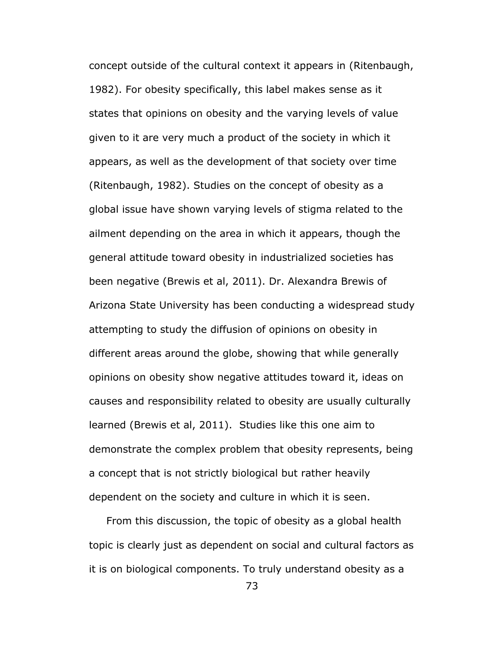concept outside of the cultural context it appears in (Ritenbaugh, 1982). For obesity specifically, this label makes sense as it states that opinions on obesity and the varying levels of value given to it are very much a product of the society in which it appears, as well as the development of that society over time (Ritenbaugh, 1982). Studies on the concept of obesity as a global issue have shown varying levels of stigma related to the ailment depending on the area in which it appears, though the general attitude toward obesity in industrialized societies has been negative (Brewis et al, 2011). Dr. Alexandra Brewis of Arizona State University has been conducting a widespread study attempting to study the diffusion of opinions on obesity in different areas around the globe, showing that while generally opinions on obesity show negative attitudes toward it, ideas on causes and responsibility related to obesity are usually culturally learned (Brewis et al, 2011). Studies like this one aim to demonstrate the complex problem that obesity represents, being a concept that is not strictly biological but rather heavily dependent on the society and culture in which it is seen.

 From this discussion, the topic of obesity as a global health topic is clearly just as dependent on social and cultural factors as it is on biological components. To truly understand obesity as a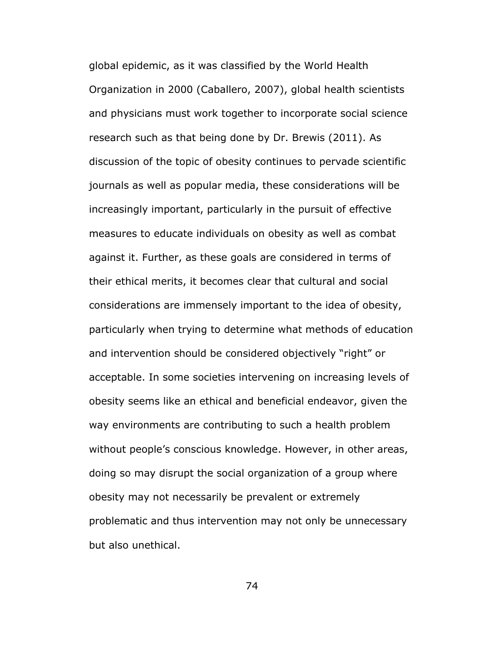global epidemic, as it was classified by the World Health Organization in 2000 (Caballero, 2007), global health scientists and physicians must work together to incorporate social science research such as that being done by Dr. Brewis (2011). As discussion of the topic of obesity continues to pervade scientific journals as well as popular media, these considerations will be increasingly important, particularly in the pursuit of effective measures to educate individuals on obesity as well as combat against it. Further, as these goals are considered in terms of their ethical merits, it becomes clear that cultural and social considerations are immensely important to the idea of obesity, particularly when trying to determine what methods of education and intervention should be considered objectively "right" or acceptable. In some societies intervening on increasing levels of obesity seems like an ethical and beneficial endeavor, given the way environments are contributing to such a health problem without people's conscious knowledge. However, in other areas, doing so may disrupt the social organization of a group where obesity may not necessarily be prevalent or extremely problematic and thus intervention may not only be unnecessary but also unethical.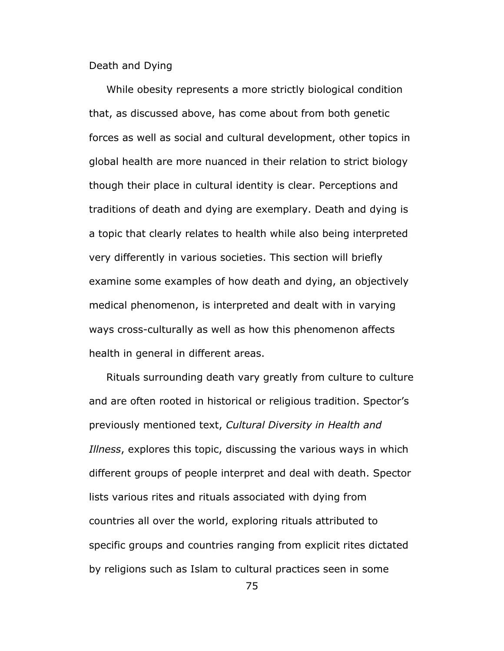Death and Dying

 While obesity represents a more strictly biological condition that, as discussed above, has come about from both genetic forces as well as social and cultural development, other topics in global health are more nuanced in their relation to strict biology though their place in cultural identity is clear. Perceptions and traditions of death and dying are exemplary. Death and dying is a topic that clearly relates to health while also being interpreted very differently in various societies. This section will briefly examine some examples of how death and dying, an objectively medical phenomenon, is interpreted and dealt with in varying ways cross-culturally as well as how this phenomenon affects health in general in different areas.

 Rituals surrounding death vary greatly from culture to culture and are often rooted in historical or religious tradition. Spector's previously mentioned text, *Cultural Diversity in Health and Illness*, explores this topic, discussing the various ways in which different groups of people interpret and deal with death. Spector lists various rites and rituals associated with dying from countries all over the world, exploring rituals attributed to specific groups and countries ranging from explicit rites dictated by religions such as Islam to cultural practices seen in some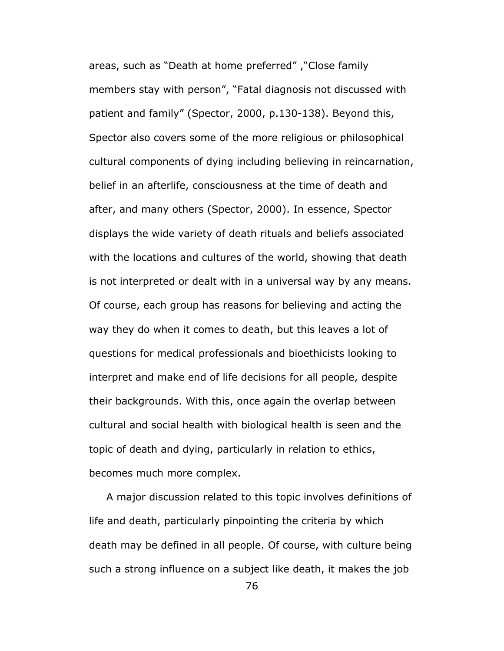areas, such as "Death at home preferred" ,"Close family members stay with person", "Fatal diagnosis not discussed with patient and family" (Spector, 2000, p.130-138). Beyond this, Spector also covers some of the more religious or philosophical cultural components of dying including believing in reincarnation, belief in an afterlife, consciousness at the time of death and after, and many others (Spector, 2000). In essence, Spector displays the wide variety of death rituals and beliefs associated with the locations and cultures of the world, showing that death is not interpreted or dealt with in a universal way by any means. Of course, each group has reasons for believing and acting the way they do when it comes to death, but this leaves a lot of questions for medical professionals and bioethicists looking to interpret and make end of life decisions for all people, despite their backgrounds. With this, once again the overlap between cultural and social health with biological health is seen and the topic of death and dying, particularly in relation to ethics, becomes much more complex.

 A major discussion related to this topic involves definitions of life and death, particularly pinpointing the criteria by which death may be defined in all people. Of course, with culture being such a strong influence on a subject like death, it makes the job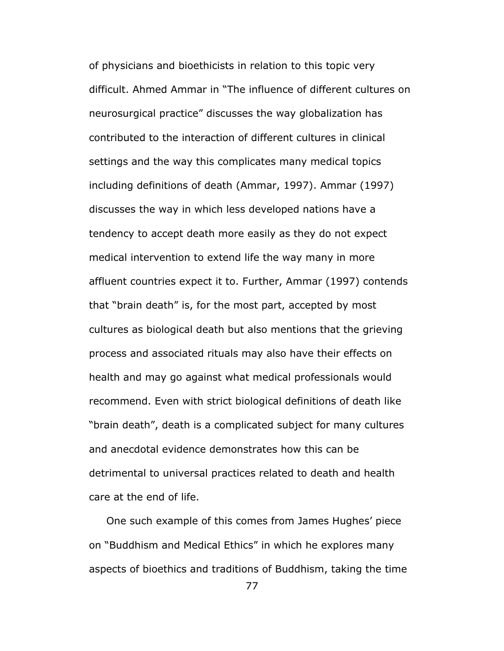of physicians and bioethicists in relation to this topic very difficult. Ahmed Ammar in "The influence of different cultures on neurosurgical practice" discusses the way globalization has contributed to the interaction of different cultures in clinical settings and the way this complicates many medical topics including definitions of death (Ammar, 1997). Ammar (1997) discusses the way in which less developed nations have a tendency to accept death more easily as they do not expect medical intervention to extend life the way many in more affluent countries expect it to. Further, Ammar (1997) contends that "brain death" is, for the most part, accepted by most cultures as biological death but also mentions that the grieving process and associated rituals may also have their effects on health and may go against what medical professionals would recommend. Even with strict biological definitions of death like "brain death", death is a complicated subject for many cultures and anecdotal evidence demonstrates how this can be detrimental to universal practices related to death and health care at the end of life.

 One such example of this comes from James Hughes' piece on "Buddhism and Medical Ethics" in which he explores many aspects of bioethics and traditions of Buddhism, taking the time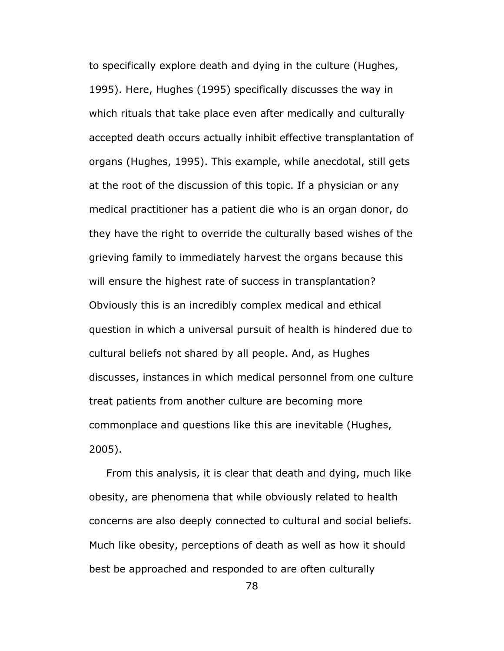to specifically explore death and dying in the culture (Hughes, 1995). Here, Hughes (1995) specifically discusses the way in which rituals that take place even after medically and culturally accepted death occurs actually inhibit effective transplantation of organs (Hughes, 1995). This example, while anecdotal, still gets at the root of the discussion of this topic. If a physician or any medical practitioner has a patient die who is an organ donor, do they have the right to override the culturally based wishes of the grieving family to immediately harvest the organs because this will ensure the highest rate of success in transplantation? Obviously this is an incredibly complex medical and ethical question in which a universal pursuit of health is hindered due to cultural beliefs not shared by all people. And, as Hughes discusses, instances in which medical personnel from one culture treat patients from another culture are becoming more commonplace and questions like this are inevitable (Hughes, 2005).

 From this analysis, it is clear that death and dying, much like obesity, are phenomena that while obviously related to health concerns are also deeply connected to cultural and social beliefs. Much like obesity, perceptions of death as well as how it should best be approached and responded to are often culturally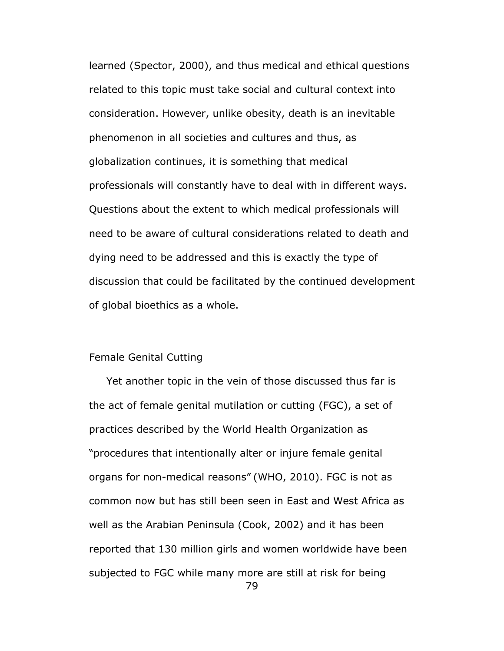learned (Spector, 2000), and thus medical and ethical questions related to this topic must take social and cultural context into consideration. However, unlike obesity, death is an inevitable phenomenon in all societies and cultures and thus, as globalization continues, it is something that medical professionals will constantly have to deal with in different ways. Questions about the extent to which medical professionals will need to be aware of cultural considerations related to death and dying need to be addressed and this is exactly the type of discussion that could be facilitated by the continued development of global bioethics as a whole.

# Female Genital Cutting

 Yet another topic in the vein of those discussed thus far is the act of female genital mutilation or cutting (FGC), a set of practices described by the World Health Organization as "procedures that intentionally alter or injure female genital organs for non-medical reasons" (WHO, 2010). FGC is not as common now but has still been seen in East and West Africa as well as the Arabian Peninsula (Cook, 2002) and it has been reported that 130 million girls and women worldwide have been subjected to FGC while many more are still at risk for being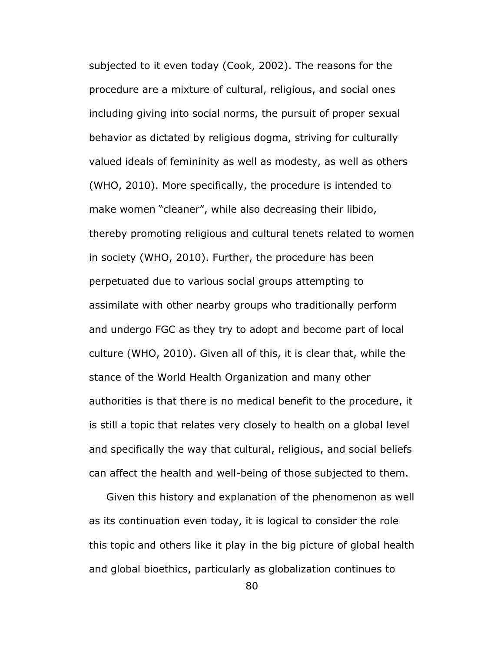subjected to it even today (Cook, 2002). The reasons for the procedure are a mixture of cultural, religious, and social ones including giving into social norms, the pursuit of proper sexual behavior as dictated by religious dogma, striving for culturally valued ideals of femininity as well as modesty, as well as others (WHO, 2010). More specifically, the procedure is intended to make women "cleaner", while also decreasing their libido, thereby promoting religious and cultural tenets related to women in society (WHO, 2010). Further, the procedure has been perpetuated due to various social groups attempting to assimilate with other nearby groups who traditionally perform and undergo FGC as they try to adopt and become part of local culture (WHO, 2010). Given all of this, it is clear that, while the stance of the World Health Organization and many other authorities is that there is no medical benefit to the procedure, it is still a topic that relates very closely to health on a global level and specifically the way that cultural, religious, and social beliefs can affect the health and well-being of those subjected to them.

 Given this history and explanation of the phenomenon as well as its continuation even today, it is logical to consider the role this topic and others like it play in the big picture of global health and global bioethics, particularly as globalization continues to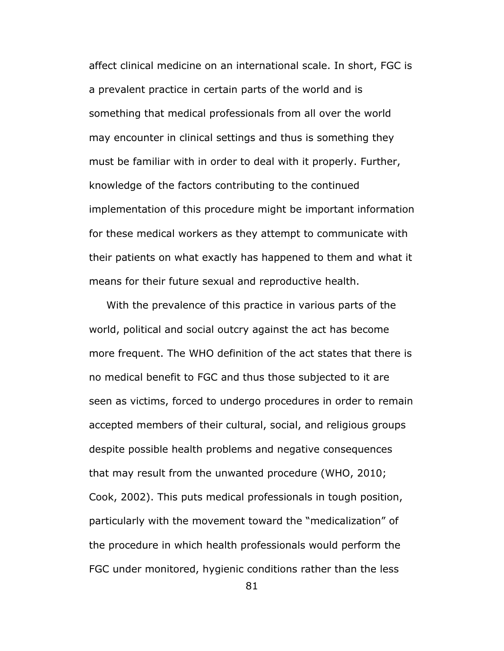affect clinical medicine on an international scale. In short, FGC is a prevalent practice in certain parts of the world and is something that medical professionals from all over the world may encounter in clinical settings and thus is something they must be familiar with in order to deal with it properly. Further, knowledge of the factors contributing to the continued implementation of this procedure might be important information for these medical workers as they attempt to communicate with their patients on what exactly has happened to them and what it means for their future sexual and reproductive health.

 With the prevalence of this practice in various parts of the world, political and social outcry against the act has become more frequent. The WHO definition of the act states that there is no medical benefit to FGC and thus those subjected to it are seen as victims, forced to undergo procedures in order to remain accepted members of their cultural, social, and religious groups despite possible health problems and negative consequences that may result from the unwanted procedure (WHO, 2010; Cook, 2002). This puts medical professionals in tough position, particularly with the movement toward the "medicalization" of the procedure in which health professionals would perform the FGC under monitored, hygienic conditions rather than the less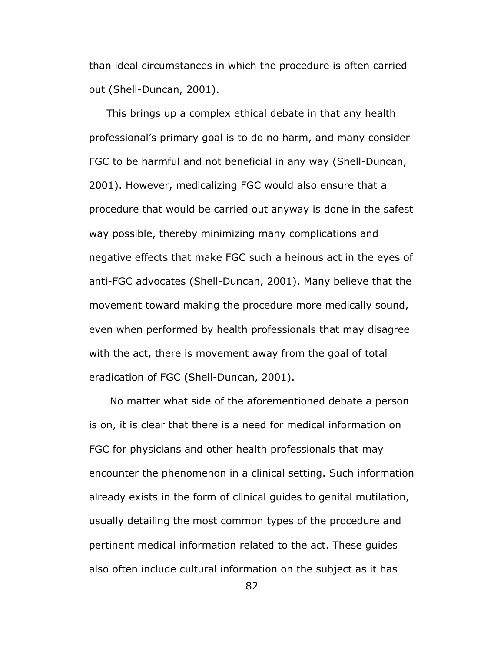than ideal circumstances in which the procedure is often carried out (Shell-Duncan, 2001).

 This brings up a complex ethical debate in that any health professional's primary goal is to do no harm, and many consider FGC to be harmful and not beneficial in any way (Shell-Duncan, 2001). However, medicalizing FGC would also ensure that a procedure that would be carried out anyway is done in the safest way possible, thereby minimizing many complications and negative effects that make FGC such a heinous act in the eyes of anti-FGC advocates (Shell-Duncan, 2001). Many believe that the movement toward making the procedure more medically sound, even when performed by health professionals that may disagree with the act, there is movement away from the goal of total eradication of FGC (Shell-Duncan, 2001).

 No matter what side of the aforementioned debate a person is on, it is clear that there is a need for medical information on FGC for physicians and other health professionals that may encounter the phenomenon in a clinical setting. Such information already exists in the form of clinical guides to genital mutilation, usually detailing the most common types of the procedure and pertinent medical information related to the act. These guides also often include cultural information on the subject as it has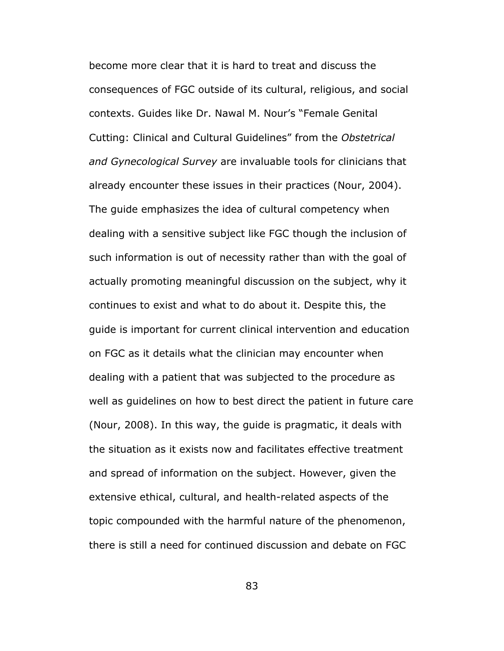become more clear that it is hard to treat and discuss the consequences of FGC outside of its cultural, religious, and social contexts. Guides like Dr. Nawal M. Nour's "Female Genital Cutting: Clinical and Cultural Guidelines" from the *Obstetrical and Gynecological Survey* are invaluable tools for clinicians that already encounter these issues in their practices (Nour, 2004). The guide emphasizes the idea of cultural competency when dealing with a sensitive subject like FGC though the inclusion of such information is out of necessity rather than with the goal of actually promoting meaningful discussion on the subject, why it continues to exist and what to do about it. Despite this, the guide is important for current clinical intervention and education on FGC as it details what the clinician may encounter when dealing with a patient that was subjected to the procedure as well as guidelines on how to best direct the patient in future care (Nour, 2008). In this way, the guide is pragmatic, it deals with the situation as it exists now and facilitates effective treatment and spread of information on the subject. However, given the extensive ethical, cultural, and health-related aspects of the topic compounded with the harmful nature of the phenomenon, there is still a need for continued discussion and debate on FGC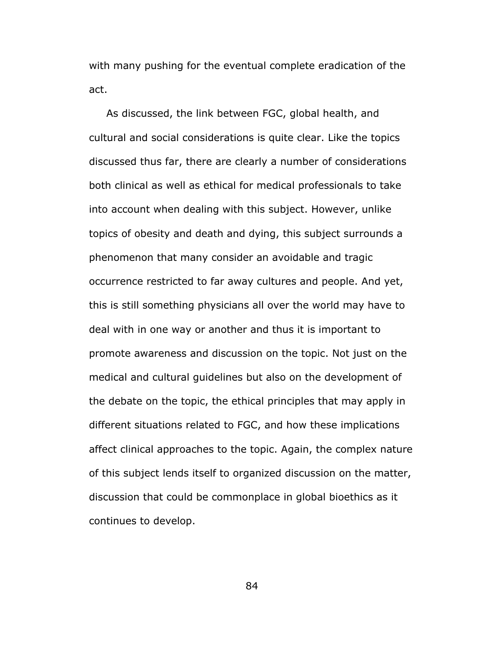with many pushing for the eventual complete eradication of the act.

 As discussed, the link between FGC, global health, and cultural and social considerations is quite clear. Like the topics discussed thus far, there are clearly a number of considerations both clinical as well as ethical for medical professionals to take into account when dealing with this subject. However, unlike topics of obesity and death and dying, this subject surrounds a phenomenon that many consider an avoidable and tragic occurrence restricted to far away cultures and people. And yet, this is still something physicians all over the world may have to deal with in one way or another and thus it is important to promote awareness and discussion on the topic. Not just on the medical and cultural guidelines but also on the development of the debate on the topic, the ethical principles that may apply in different situations related to FGC, and how these implications affect clinical approaches to the topic. Again, the complex nature of this subject lends itself to organized discussion on the matter, discussion that could be commonplace in global bioethics as it continues to develop.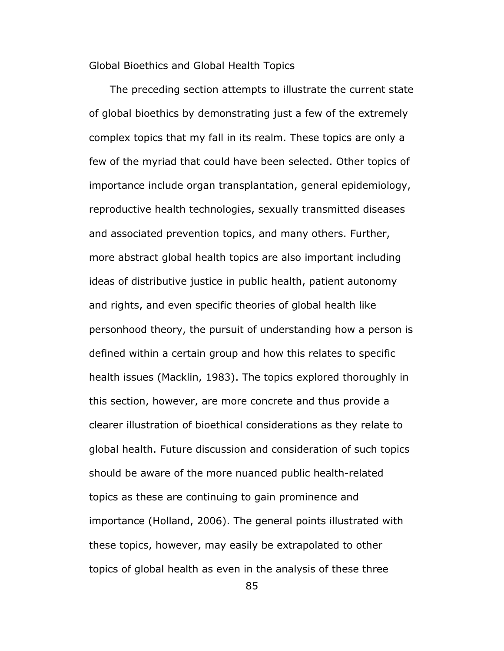Global Bioethics and Global Health Topics

 The preceding section attempts to illustrate the current state of global bioethics by demonstrating just a few of the extremely complex topics that my fall in its realm. These topics are only a few of the myriad that could have been selected. Other topics of importance include organ transplantation, general epidemiology, reproductive health technologies, sexually transmitted diseases and associated prevention topics, and many others. Further, more abstract global health topics are also important including ideas of distributive justice in public health, patient autonomy and rights, and even specific theories of global health like personhood theory, the pursuit of understanding how a person is defined within a certain group and how this relates to specific health issues (Macklin, 1983). The topics explored thoroughly in this section, however, are more concrete and thus provide a clearer illustration of bioethical considerations as they relate to global health. Future discussion and consideration of such topics should be aware of the more nuanced public health-related topics as these are continuing to gain prominence and importance (Holland, 2006). The general points illustrated with these topics, however, may easily be extrapolated to other topics of global health as even in the analysis of these three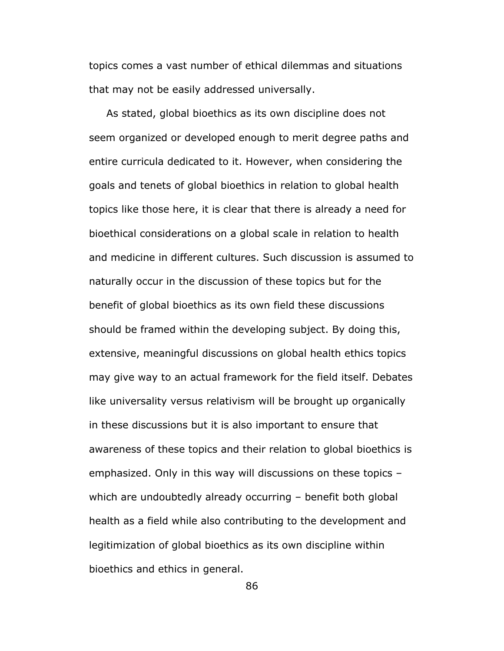topics comes a vast number of ethical dilemmas and situations that may not be easily addressed universally.

 As stated, global bioethics as its own discipline does not seem organized or developed enough to merit degree paths and entire curricula dedicated to it. However, when considering the goals and tenets of global bioethics in relation to global health topics like those here, it is clear that there is already a need for bioethical considerations on a global scale in relation to health and medicine in different cultures. Such discussion is assumed to naturally occur in the discussion of these topics but for the benefit of global bioethics as its own field these discussions should be framed within the developing subject. By doing this, extensive, meaningful discussions on global health ethics topics may give way to an actual framework for the field itself. Debates like universality versus relativism will be brought up organically in these discussions but it is also important to ensure that awareness of these topics and their relation to global bioethics is emphasized. Only in this way will discussions on these topics – which are undoubtedly already occurring - benefit both global health as a field while also contributing to the development and legitimization of global bioethics as its own discipline within bioethics and ethics in general.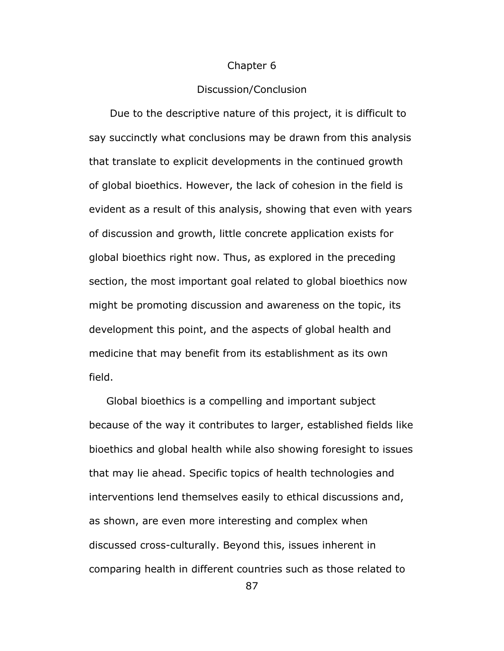### Chapter 6

### Discussion/Conclusion

 Due to the descriptive nature of this project, it is difficult to say succinctly what conclusions may be drawn from this analysis that translate to explicit developments in the continued growth of global bioethics. However, the lack of cohesion in the field is evident as a result of this analysis, showing that even with years of discussion and growth, little concrete application exists for global bioethics right now. Thus, as explored in the preceding section, the most important goal related to global bioethics now might be promoting discussion and awareness on the topic, its development this point, and the aspects of global health and medicine that may benefit from its establishment as its own field.

 Global bioethics is a compelling and important subject because of the way it contributes to larger, established fields like bioethics and global health while also showing foresight to issues that may lie ahead. Specific topics of health technologies and interventions lend themselves easily to ethical discussions and, as shown, are even more interesting and complex when discussed cross-culturally. Beyond this, issues inherent in comparing health in different countries such as those related to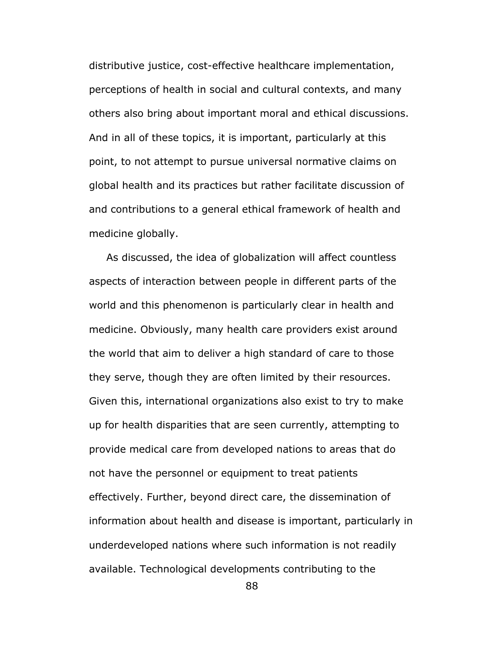distributive justice, cost-effective healthcare implementation, perceptions of health in social and cultural contexts, and many others also bring about important moral and ethical discussions. And in all of these topics, it is important, particularly at this point, to not attempt to pursue universal normative claims on global health and its practices but rather facilitate discussion of and contributions to a general ethical framework of health and medicine globally.

 As discussed, the idea of globalization will affect countless aspects of interaction between people in different parts of the world and this phenomenon is particularly clear in health and medicine. Obviously, many health care providers exist around the world that aim to deliver a high standard of care to those they serve, though they are often limited by their resources. Given this, international organizations also exist to try to make up for health disparities that are seen currently, attempting to provide medical care from developed nations to areas that do not have the personnel or equipment to treat patients effectively. Further, beyond direct care, the dissemination of information about health and disease is important, particularly in underdeveloped nations where such information is not readily available. Technological developments contributing to the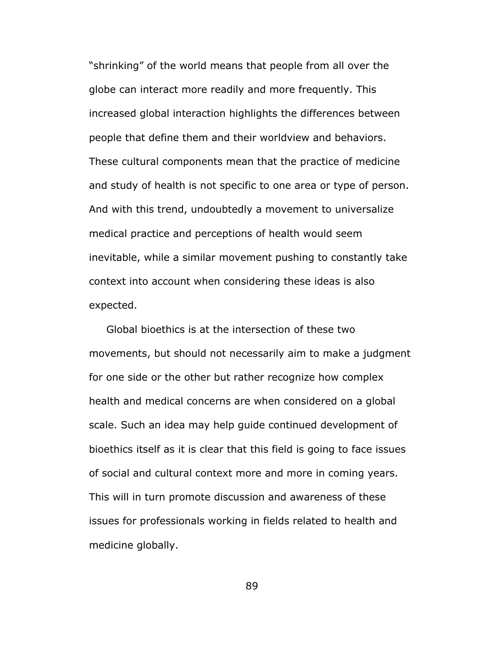"shrinking" of the world means that people from all over the globe can interact more readily and more frequently. This increased global interaction highlights the differences between people that define them and their worldview and behaviors. These cultural components mean that the practice of medicine and study of health is not specific to one area or type of person. And with this trend, undoubtedly a movement to universalize medical practice and perceptions of health would seem inevitable, while a similar movement pushing to constantly take context into account when considering these ideas is also expected.

 Global bioethics is at the intersection of these two movements, but should not necessarily aim to make a judgment for one side or the other but rather recognize how complex health and medical concerns are when considered on a global scale. Such an idea may help guide continued development of bioethics itself as it is clear that this field is going to face issues of social and cultural context more and more in coming years. This will in turn promote discussion and awareness of these issues for professionals working in fields related to health and medicine globally.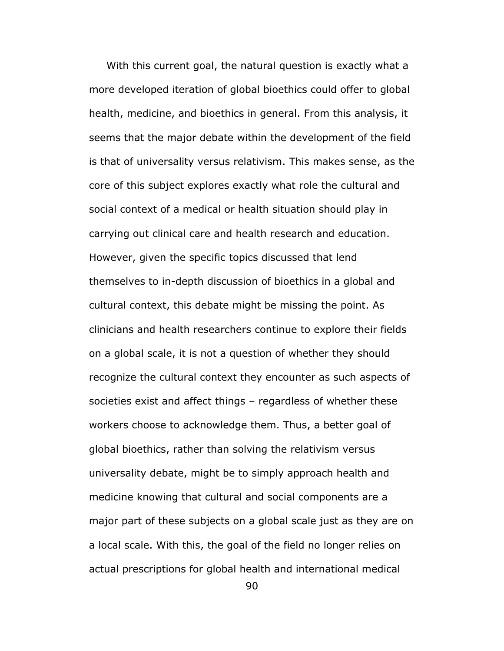With this current goal, the natural question is exactly what a more developed iteration of global bioethics could offer to global health, medicine, and bioethics in general. From this analysis, it seems that the major debate within the development of the field is that of universality versus relativism. This makes sense, as the core of this subject explores exactly what role the cultural and social context of a medical or health situation should play in carrying out clinical care and health research and education. However, given the specific topics discussed that lend themselves to in-depth discussion of bioethics in a global and cultural context, this debate might be missing the point. As clinicians and health researchers continue to explore their fields on a global scale, it is not a question of whether they should recognize the cultural context they encounter as such aspects of societies exist and affect things – regardless of whether these workers choose to acknowledge them. Thus, a better goal of global bioethics, rather than solving the relativism versus universality debate, might be to simply approach health and medicine knowing that cultural and social components are a major part of these subjects on a global scale just as they are on a local scale. With this, the goal of the field no longer relies on actual prescriptions for global health and international medical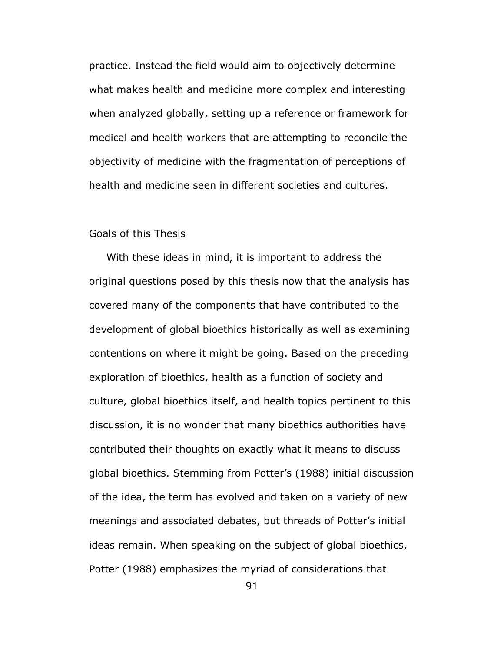practice. Instead the field would aim to objectively determine what makes health and medicine more complex and interesting when analyzed globally, setting up a reference or framework for medical and health workers that are attempting to reconcile the objectivity of medicine with the fragmentation of perceptions of health and medicine seen in different societies and cultures.

# Goals of this Thesis

 With these ideas in mind, it is important to address the original questions posed by this thesis now that the analysis has covered many of the components that have contributed to the development of global bioethics historically as well as examining contentions on where it might be going. Based on the preceding exploration of bioethics, health as a function of society and culture, global bioethics itself, and health topics pertinent to this discussion, it is no wonder that many bioethics authorities have contributed their thoughts on exactly what it means to discuss global bioethics. Stemming from Potter's (1988) initial discussion of the idea, the term has evolved and taken on a variety of new meanings and associated debates, but threads of Potter's initial ideas remain. When speaking on the subject of global bioethics, Potter (1988) emphasizes the myriad of considerations that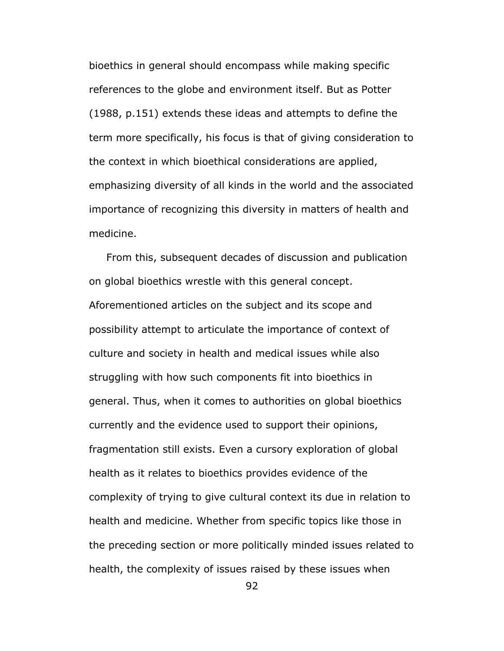bioethics in general should encompass while making specific references to the globe and environment itself. But as Potter (1988, p.151) extends these ideas and attempts to define the term more specifically, his focus is that of giving consideration to the context in which bioethical considerations are applied, emphasizing diversity of all kinds in the world and the associated importance of recognizing this diversity in matters of health and medicine.

 From this, subsequent decades of discussion and publication on global bioethics wrestle with this general concept. Aforementioned articles on the subject and its scope and possibility attempt to articulate the importance of context of culture and society in health and medical issues while also struggling with how such components fit into bioethics in general. Thus, when it comes to authorities on global bioethics currently and the evidence used to support their opinions, fragmentation still exists. Even a cursory exploration of global health as it relates to bioethics provides evidence of the complexity of trying to give cultural context its due in relation to health and medicine. Whether from specific topics like those in the preceding section or more politically minded issues related to health, the complexity of issues raised by these issues when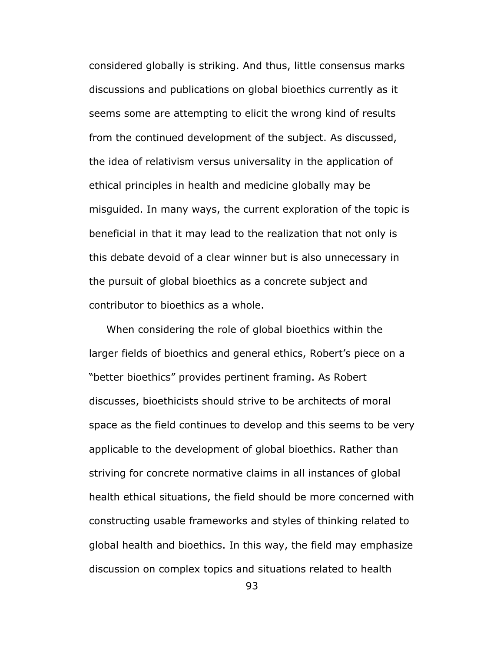considered globally is striking. And thus, little consensus marks discussions and publications on global bioethics currently as it seems some are attempting to elicit the wrong kind of results from the continued development of the subject. As discussed, the idea of relativism versus universality in the application of ethical principles in health and medicine globally may be misguided. In many ways, the current exploration of the topic is beneficial in that it may lead to the realization that not only is this debate devoid of a clear winner but is also unnecessary in the pursuit of global bioethics as a concrete subject and contributor to bioethics as a whole.

 When considering the role of global bioethics within the larger fields of bioethics and general ethics, Robert's piece on a "better bioethics" provides pertinent framing. As Robert discusses, bioethicists should strive to be architects of moral space as the field continues to develop and this seems to be very applicable to the development of global bioethics. Rather than striving for concrete normative claims in all instances of global health ethical situations, the field should be more concerned with constructing usable frameworks and styles of thinking related to global health and bioethics. In this way, the field may emphasize discussion on complex topics and situations related to health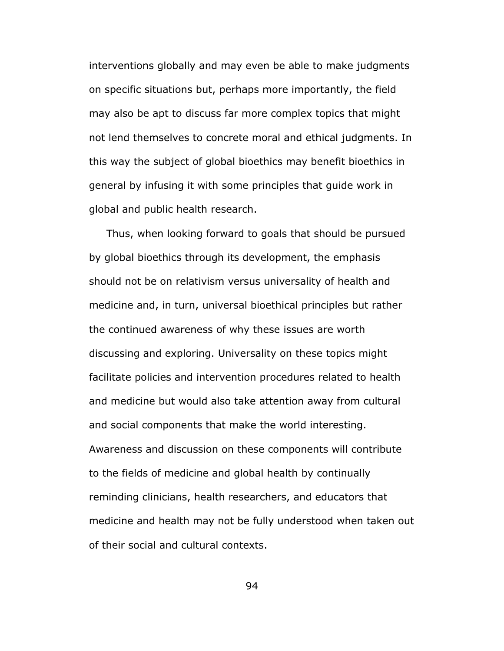interventions globally and may even be able to make judgments on specific situations but, perhaps more importantly, the field may also be apt to discuss far more complex topics that might not lend themselves to concrete moral and ethical judgments. In this way the subject of global bioethics may benefit bioethics in general by infusing it with some principles that guide work in global and public health research.

 Thus, when looking forward to goals that should be pursued by global bioethics through its development, the emphasis should not be on relativism versus universality of health and medicine and, in turn, universal bioethical principles but rather the continued awareness of why these issues are worth discussing and exploring. Universality on these topics might facilitate policies and intervention procedures related to health and medicine but would also take attention away from cultural and social components that make the world interesting. Awareness and discussion on these components will contribute to the fields of medicine and global health by continually reminding clinicians, health researchers, and educators that medicine and health may not be fully understood when taken out of their social and cultural contexts.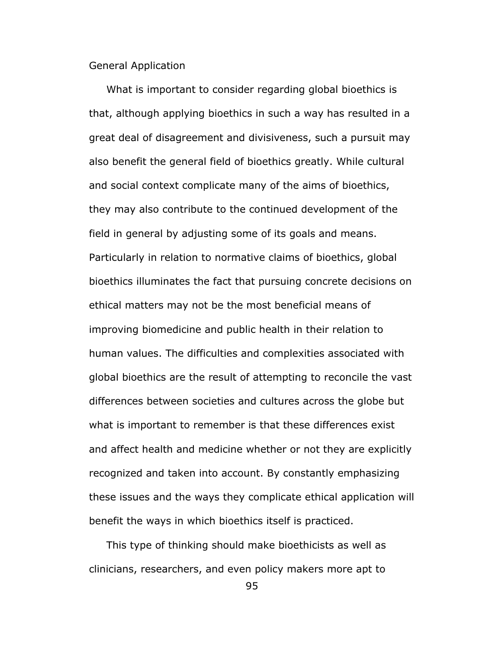General Application

 What is important to consider regarding global bioethics is that, although applying bioethics in such a way has resulted in a great deal of disagreement and divisiveness, such a pursuit may also benefit the general field of bioethics greatly. While cultural and social context complicate many of the aims of bioethics, they may also contribute to the continued development of the field in general by adjusting some of its goals and means. Particularly in relation to normative claims of bioethics, global bioethics illuminates the fact that pursuing concrete decisions on ethical matters may not be the most beneficial means of improving biomedicine and public health in their relation to human values. The difficulties and complexities associated with global bioethics are the result of attempting to reconcile the vast differences between societies and cultures across the globe but what is important to remember is that these differences exist and affect health and medicine whether or not they are explicitly recognized and taken into account. By constantly emphasizing these issues and the ways they complicate ethical application will benefit the ways in which bioethics itself is practiced.

 This type of thinking should make bioethicists as well as clinicians, researchers, and even policy makers more apt to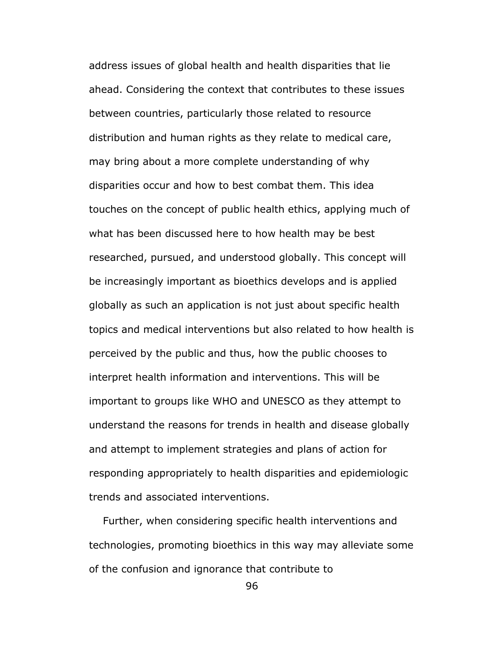address issues of global health and health disparities that lie ahead. Considering the context that contributes to these issues between countries, particularly those related to resource distribution and human rights as they relate to medical care, may bring about a more complete understanding of why disparities occur and how to best combat them. This idea touches on the concept of public health ethics, applying much of what has been discussed here to how health may be best researched, pursued, and understood globally. This concept will be increasingly important as bioethics develops and is applied globally as such an application is not just about specific health topics and medical interventions but also related to how health is perceived by the public and thus, how the public chooses to interpret health information and interventions. This will be important to groups like WHO and UNESCO as they attempt to understand the reasons for trends in health and disease globally and attempt to implement strategies and plans of action for responding appropriately to health disparities and epidemiologic trends and associated interventions.

 Further, when considering specific health interventions and technologies, promoting bioethics in this way may alleviate some of the confusion and ignorance that contribute to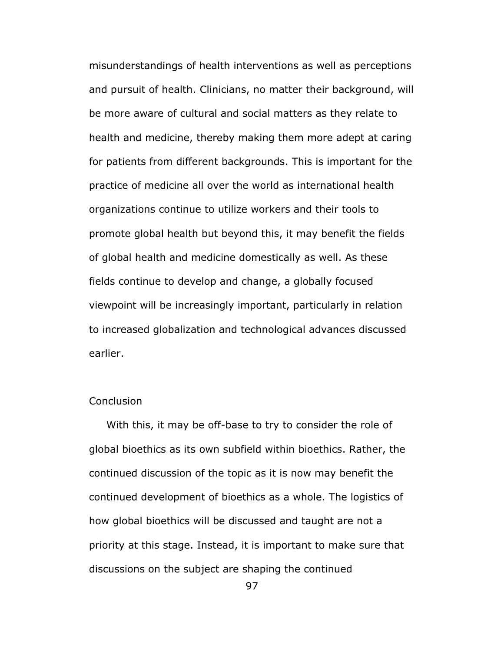misunderstandings of health interventions as well as perceptions and pursuit of health. Clinicians, no matter their background, will be more aware of cultural and social matters as they relate to health and medicine, thereby making them more adept at caring for patients from different backgrounds. This is important for the practice of medicine all over the world as international health organizations continue to utilize workers and their tools to promote global health but beyond this, it may benefit the fields of global health and medicine domestically as well. As these fields continue to develop and change, a globally focused viewpoint will be increasingly important, particularly in relation to increased globalization and technological advances discussed earlier.

# **Conclusion**

 With this, it may be off-base to try to consider the role of global bioethics as its own subfield within bioethics. Rather, the continued discussion of the topic as it is now may benefit the continued development of bioethics as a whole. The logistics of how global bioethics will be discussed and taught are not a priority at this stage. Instead, it is important to make sure that discussions on the subject are shaping the continued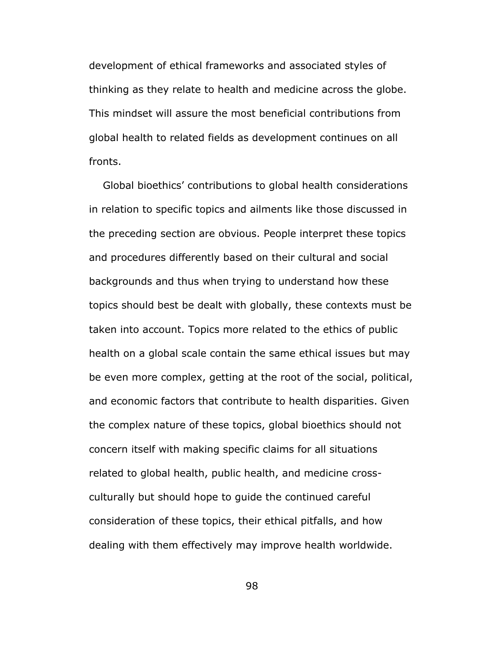development of ethical frameworks and associated styles of thinking as they relate to health and medicine across the globe. This mindset will assure the most beneficial contributions from global health to related fields as development continues on all fronts.

 Global bioethics' contributions to global health considerations in relation to specific topics and ailments like those discussed in the preceding section are obvious. People interpret these topics and procedures differently based on their cultural and social backgrounds and thus when trying to understand how these topics should best be dealt with globally, these contexts must be taken into account. Topics more related to the ethics of public health on a global scale contain the same ethical issues but may be even more complex, getting at the root of the social, political, and economic factors that contribute to health disparities. Given the complex nature of these topics, global bioethics should not concern itself with making specific claims for all situations related to global health, public health, and medicine crossculturally but should hope to guide the continued careful consideration of these topics, their ethical pitfalls, and how dealing with them effectively may improve health worldwide.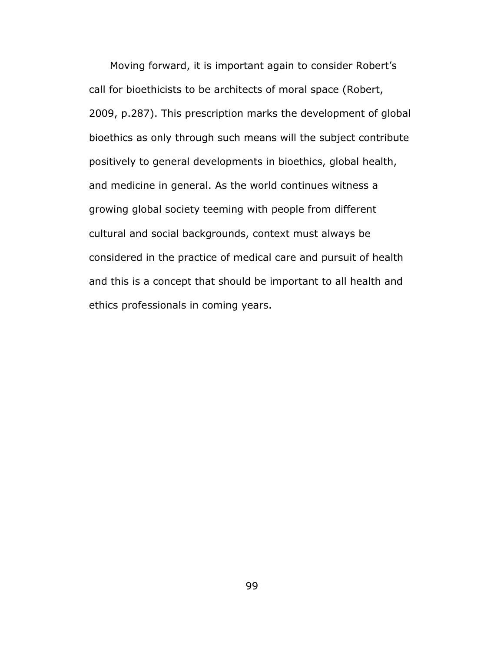Moving forward, it is important again to consider Robert's call for bioethicists to be architects of moral space (Robert, 2009, p.287). This prescription marks the development of global bioethics as only through such means will the subject contribute positively to general developments in bioethics, global health, and medicine in general. As the world continues witness a growing global society teeming with people from different cultural and social backgrounds, context must always be considered in the practice of medical care and pursuit of health and this is a concept that should be important to all health and ethics professionals in coming years.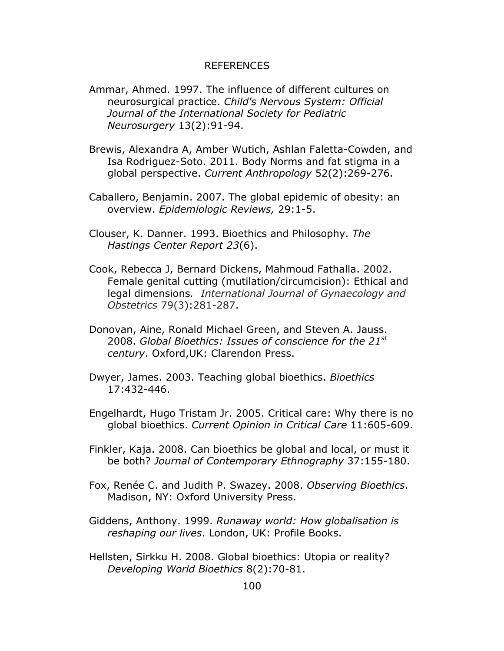# REFERENCES

- Ammar, Ahmed. 1997. The influence of different cultures on neurosurgical practice. *Child's Nervous System: Official Journal of the International Society for Pediatric Neurosurgery* 13(2):91-94.
- Brewis, Alexandra A, Amber Wutich, Ashlan Faletta-Cowden, and Isa Rodriguez-Soto. 2011. Body Norms and fat stigma in a global perspective. *Current Anthropology* 52(2):269-276.
- Caballero, Benjamin. 2007. The global epidemic of obesity: an overview. *Epidemiologic Reviews,* 29:1-5.
- Clouser, K. Danner. 1993. Bioethics and Philosophy. *The Hastings Center Report 23*(6).
- Cook, Rebecca J, Bernard Dickens, Mahmoud Fathalla. 2002. Female genital cutting (mutilation/circumcision): Ethical and legal dimensions*. International Journal of Gynaecology and Obstetrics* 79(3):281-287.
- Donovan, Aine, Ronald Michael Green, and Steven A. Jauss. 2008. *Global Bioethics: Issues of conscience for the 21st century*. Oxford,UK: Clarendon Press.
- Dwyer, James. 2003. Teaching global bioethics. *Bioethics*  17:432-446.
- Engelhardt, Hugo Tristam Jr. 2005. Critical care: Why there is no global bioethics. *Current Opinion in Critical Care* 11:605-609.
- Finkler, Kaja. 2008. Can bioethics be global and local, or must it be both? *Journal of Contemporary Ethnography* 37:155-180.
- Fox, Renée C. and Judith P. Swazey. 2008. *Observing Bioethics*. Madison, NY: Oxford University Press.
- Giddens, Anthony. 1999. *Runaway world: How globalisation is reshaping our lives*. London, UK: Profile Books.
- Hellsten, Sirkku H. 2008. Global bioethics: Utopia or reality? *Developing World Bioethics* 8(2):70-81.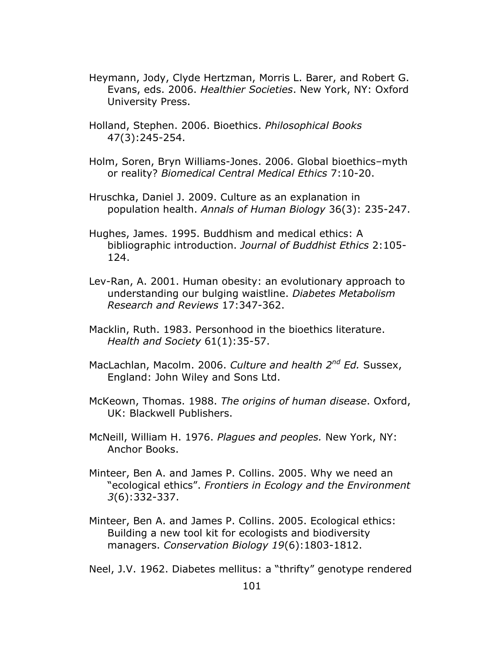- Heymann, Jody, Clyde Hertzman, Morris L. Barer, and Robert G. Evans, eds. 2006. *Healthier Societies*. New York, NY: Oxford University Press.
- Holland, Stephen. 2006. Bioethics. *Philosophical Books*  47(3):245-254.
- Holm, Soren, Bryn Williams-Jones. 2006. Global bioethics–myth or reality? *Biomedical Central Medical Ethics* 7:10-20.
- Hruschka, Daniel J. 2009. Culture as an explanation in population health. *Annals of Human Biology* 36(3): 235-247.
- Hughes, James. 1995. Buddhism and medical ethics: A bibliographic introduction. *Journal of Buddhist Ethics* 2:105- 124.
- Lev-Ran, A. 2001. Human obesity: an evolutionary approach to understanding our bulging waistline. *Diabetes Metabolism Research and Reviews* 17:347-362.
- Macklin, Ruth. 1983. Personhood in the bioethics literature. *Health and Society* 61(1):35-57.
- MacLachlan, Macolm. 2006. *Culture and health 2nd Ed.* Sussex, England: John Wiley and Sons Ltd.
- McKeown, Thomas. 1988. *The origins of human disease*. Oxford, UK: Blackwell Publishers.
- McNeill, William H. 1976. *Plagues and peoples.* New York, NY: Anchor Books.
- Minteer, Ben A. and James P. Collins. 2005. Why we need an "ecological ethics". *Frontiers in Ecology and the Environment 3*(6):332-337.
- Minteer, Ben A. and James P. Collins. 2005. Ecological ethics: Building a new tool kit for ecologists and biodiversity managers. *Conservation Biology 19*(6):1803-1812.

Neel, J.V. 1962. Diabetes mellitus: a "thrifty" genotype rendered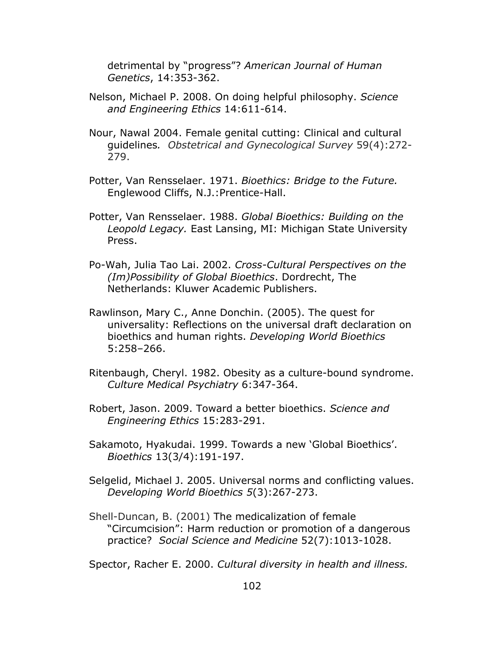detrimental by "progress"? *American Journal of Human Genetics*, 14:353-362.

- Nelson, Michael P. 2008. On doing helpful philosophy. *Science and Engineering Ethics* 14:611-614.
- Nour, Nawal 2004. Female genital cutting: Clinical and cultural guidelines*. Obstetrical and Gynecological Survey* 59(4):272- 279.
- Potter, Van Rensselaer. 1971. *Bioethics: Bridge to the Future.*  Englewood Cliffs, N.J.:Prentice-Hall.
- Potter, Van Rensselaer. 1988. *Global Bioethics: Building on the Leopold Legacy.* East Lansing, MI: Michigan State University Press.
- Po-Wah, Julia Tao Lai. 2002. *Cross-Cultural Perspectives on the (Im)Possibility of Global Bioethics*. Dordrecht, The Netherlands: Kluwer Academic Publishers.
- Rawlinson, Mary C., Anne Donchin. (2005). The quest for universality: Reflections on the universal draft declaration on bioethics and human rights. *Developing World Bioethics*  5:258–266.
- Ritenbaugh, Cheryl. 1982. Obesity as a culture-bound syndrome. *Culture Medical Psychiatry* 6:347-364.
- Robert, Jason. 2009. Toward a better bioethics. *Science and Engineering Ethics* 15:283-291.
- Sakamoto, Hyakudai. 1999. Towards a new 'Global Bioethics'. *Bioethics* 13(3/4):191-197.
- Selgelid, Michael J. 2005. Universal norms and conflicting values. *Developing World Bioethics 5*(3):267-273.
- Shell-Duncan, B. (2001) The medicalization of female "Circumcision": Harm reduction or promotion of a dangerous practice? *Social Science and Medicine* 52(7):1013-1028.

Spector, Racher E. 2000. *Cultural diversity in health and illness.*